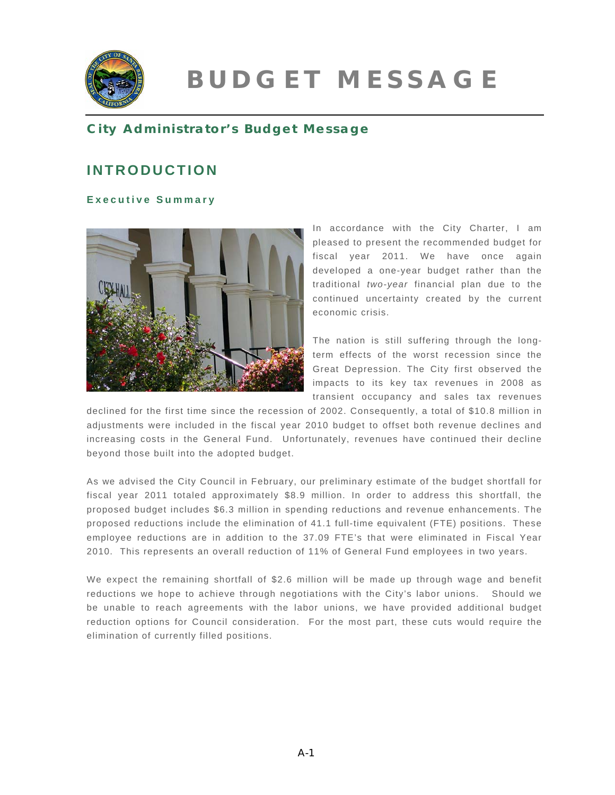

# **BUDGET MESSAGE**

### **City Administrato r's Budget Message**

## **INTRODUCTION**

#### **Executive Summary**



In accordance with the City Charter, I am pleased to present the recommended budget for fiscal year 2011. We have once again developed a one-year budget rather than the traditional *two-year* financial plan due to the continued uncertainty created by the current economic crisis.

The nation is still suffering through the longterm effects of the worst recession since the Great Depression. The City first observed the impacts to its key tax revenues in 2008 as transient occupancy and sales tax revenues

declined for the first time since the recession of 2002. Consequently, a total of \$10.8 million in adjustments were included in the fiscal year 2010 budget to offset both revenue declines and increasing costs in the General Fund. Unfortunately, revenues have continued their decline beyond those built into the adopted budget.

As we advised the City Council in February, our preliminary estimate of the budget shortfall for fiscal year 2011 totaled approximately \$8.9 million. In order to address this shortfall, the proposed budget includes \$6.3 million in spending reductions and revenue enhancements. The proposed reductions include the elimination of 41.1 full-time equivalent (FTE) positions. These employee reductions are in addition to the 37.09 FTE's that were eliminated in Fiscal Year 2010. This represents an overall reduction of 11% of General Fund employees in two years.

We expect the remaining shortfall of \$2.6 million will be made up through wage and benefit reductions we hope to achieve through negotiations with the City's labor unions. Should we be unable to reach agreements with the labor unions, we have provided additional budget reduction options for Council consideration. For the most part, these cuts would require the elimination of currently filled positions.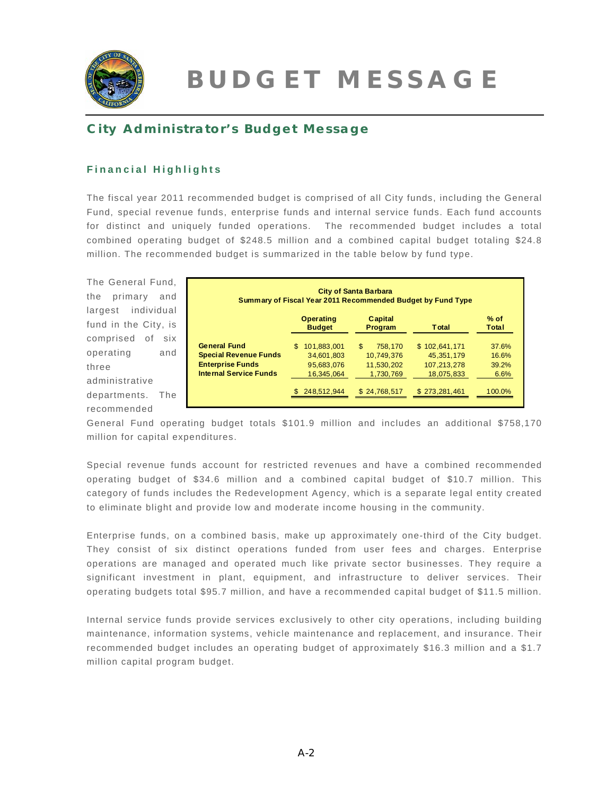

#### **Financial Highlights**

The fiscal year 2011 recommended budget is comprised of all City funds, including the General Fund, special revenue funds, enterprise funds and internal service funds. Each fund accounts for distinct and uniquely funded operations. The recommended budget includes a total combined operating budget of \$248.5 million and a combined capital budget totaling \$24.8 million. The recommended budget is summarized in the table below by fund type.

The General Fund, the primary and largest individual fund in the City, is comprised of six operating and three administrative departments. The recommended

| <b>City of Santa Barbara</b><br>Summary of Fiscal Year 2011 Recommended Budget by Fund Type                     |                                                              |                                                        |                                                          |                                 |  |  |
|-----------------------------------------------------------------------------------------------------------------|--------------------------------------------------------------|--------------------------------------------------------|----------------------------------------------------------|---------------------------------|--|--|
|                                                                                                                 | <b>Operating</b><br><b>Budget</b>                            | Capital<br>Program                                     | <b>T</b> otal                                            | $%$ of<br>Total                 |  |  |
| <b>General Fund</b><br><b>Special Revenue Funds</b><br><b>Enterprise Funds</b><br><b>Internal Service Funds</b> | 101.883.001<br>\$.<br>34.601.803<br>95.683.076<br>16,345,064 | \$<br>758.170<br>10.749.376<br>11,530,202<br>1,730,769 | \$102.641.171<br>45.351.179<br>107,213,278<br>18,075,833 | 37.6%<br>16.6%<br>39.2%<br>6.6% |  |  |
|                                                                                                                 | 248,512,944                                                  | \$24,768,517                                           | \$273,281,461                                            | 100.0%                          |  |  |

General Fund operating budget totals \$101.9 million and includes an additional \$758,170 million for capital expenditures.

Special revenue funds account for restricted revenues and have a combined recommended operating budget of \$34.6 million and a combined capital budget of \$10.7 million. This category of funds includes the Redevelopment Agency, which is a separate legal entity created to eliminate blight and provide low and moderate income housing in the community.

Enterprise funds, on a combined basis, make up approximately one-third of the City budget. They consist of six distinct operations funded from user fees and charges. Enterprise operations are managed and operated much like private sector businesses. They require a significant investment in plant, equipment, and infrastructure to deliver services. Their operating budgets total \$95.7 million, and have a recommended capital budget of \$11.5 million.

Internal service funds provide services exclusively to other city operations, including building maintenance, information systems, vehicle maintenance and replacement, and insurance. Their recommended budget includes an operating budget of approximately \$16.3 million and a \$1.7 million capital program budget.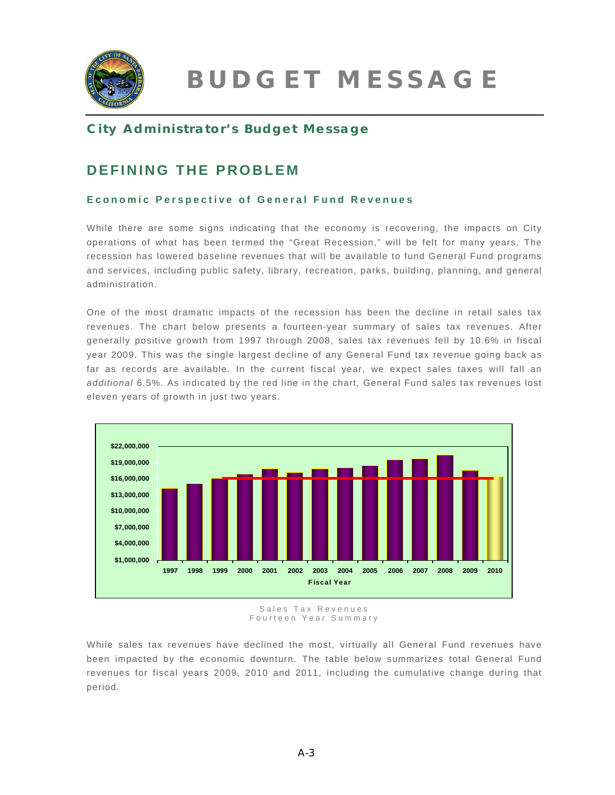

## **DEFINING THE PROBLEM**

#### **Economic Perspective of General Fund Revenues**

While there are some signs indicating that the economy is recovering, the impacts on City operations of what has been termed the "Great Recession," will be felt for many years. The recession has lowered baseline revenues that will be available to fund General Fund programs and services, including public safety, library, recreation, parks, building, planning, and general administration.

One of the most dramatic impacts of the recession has been the decline in retail sales tax revenues. The chart below presents a fourteen-year summary of sales tax revenues. After generally positive growth from 1997 through 2008, sales tax revenues fell by 10.6% in fiscal year 2009. This was the single largest decline of any General Fund tax revenue going back as far as records are available. In the current fiscal year, we expect sales taxes will fall an *additional* 6.5%. As indicated by the red line in the chart, General Fund sales tax revenues lost eleven years of growth in just two years.



Sales Tax Revenues Fourteen Year Summary

While sales tax revenues have declined the most, virtually all General Fund revenues have been impacted by the economic downturn. The table below summarizes total General Fund revenues for fiscal years 2009, 2010 and 2011, including the cumulative change during that period.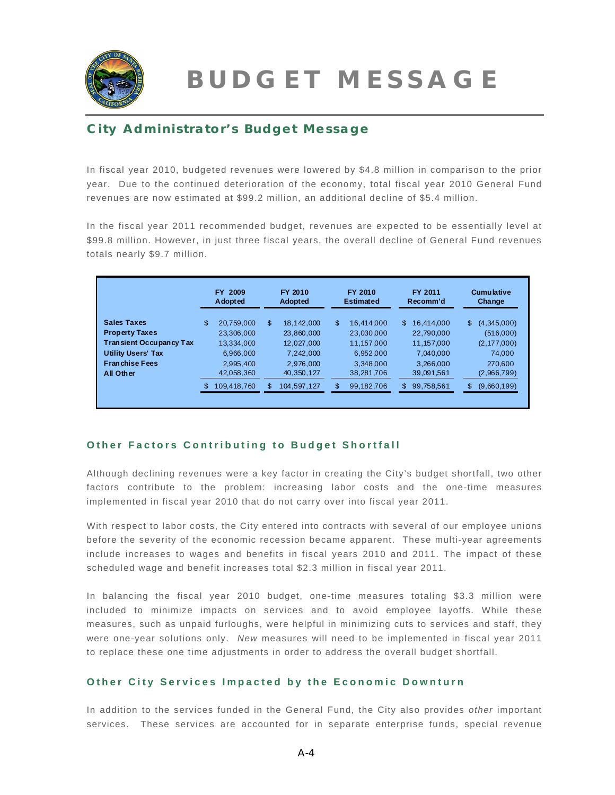

In fiscal year 2010, budgeted revenues were lowered by \$4.8 million in comparison to the prior year. Due to the continued deterioration of the economy, total fiscal year 2010 General Fund revenues are now estimated at \$99.2 million, an additional decline of \$5.4 million.

In the fiscal year 2011 recommended budget, revenues are expected to be essentially level at \$99.8 million. However, in just three fiscal years, the overall decline of General Fund revenues totals nearly \$9.7 million.

| \$<br>20.759.000<br>23.306.000 | 18.142.000<br>23.860.000                            | \$<br>16.414.000<br>23.030.000 | \$<br>16.414.000<br>22.790.000 | \$<br>(4,345,000)<br>(516,000) |
|--------------------------------|-----------------------------------------------------|--------------------------------|--------------------------------|--------------------------------|
|                                |                                                     |                                |                                |                                |
|                                |                                                     |                                |                                |                                |
| 13.334.000                     | 12.027.000                                          | 11.157.000                     | 11.157.000                     | (2, 177, 000)                  |
|                                | 7.242.000                                           | 6.952.000                      | 7.040.000                      | 74.000                         |
|                                | 2.976.000                                           | 3.348.000                      | 3.266.000                      | 270,600                        |
|                                | 40.350.127                                          | 38.281.706                     | 39,091,561                     | (2,966,799)                    |
|                                | 104,597,127                                         | \$<br>99, 182, 706             | \$<br>99,758,561               | (9,660,199)<br>S               |
|                                | 6.966.000<br>2.995.400<br>42.058.360<br>109,418,760 | \$                             |                                |                                |

#### **Other Factors Contributing to Budget Shortfall**

Although declining revenues were a key factor in creating the City's budget shortfall, two other factors contribute to the problem: increasing labor costs and the one-time measures implemented in fiscal year 2010 that do not carry over into fiscal year 2011.

With respect to labor costs, the City entered into contracts with several of our employee unions before the severity of the economic recession became apparent. These multi-year agreements include increases to wages and benefits in fiscal years 2010 and 2011. The impact of these scheduled wage and benefit increases total \$2.3 million in fiscal year 2011.

In balancing the fiscal year 2010 budget, one-time measures totaling \$3.3 million were included to minimize impacts on services and to avoid employee layoffs. While these measures, such as unpaid furloughs, were helpful in minimizing cuts to services and staff, they were one-year solutions only. *New* measures will need to be implemented in fiscal year 2011 to replace these one time adjustments in order to address the overall budget shortfall.

#### **Other City Services Impacted by the Economic Downturn**

In addition to the services funded in the General Fund, the City also provides *other* important services. These services are accounted for in separate enterprise funds, special revenue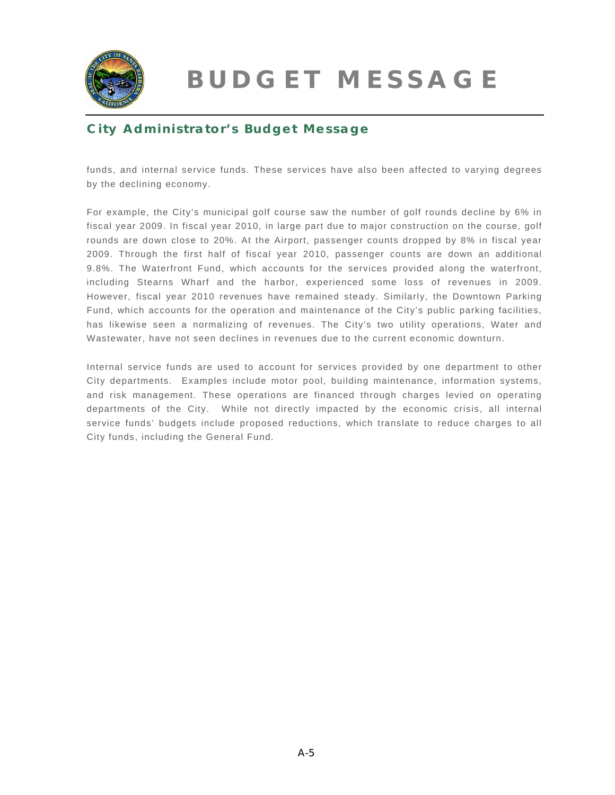

funds, and internal service funds. These services have also been affected to varying degrees by the declining economy.

For example, the City's municipal golf course saw the number of golf rounds decline by 6% in fiscal year 2009. In fiscal year 2010, in large part due to major construction on the course, golf rounds are down close to 20%. At the Airport, passenger counts dropped by 8% in fiscal year 2009. Through the first half of fiscal year 2010, passenger counts are down an additional 9.8%. The Waterfront Fund, which accounts for the services provided along the waterfront, including Stearns Wharf and the harbor, experienced some loss of revenues in 2009. However, fiscal year 2010 revenues have remained steady. Similarly, the Downtown Parking Fund, which accounts for the operation and maintenance of the City's public parking facilities, has likewise seen a normalizing of revenues. The City's two utility operations, Water and Wastewater, have not seen declines in revenues due to the current economic downturn.

Internal service funds are used to account for services provided by one department to other City departments. Examples include motor pool, building maintenance, information systems, and risk management. These operations are financed through charges levied on operating departments of the City. While not directly impacted by the economic crisis, all internal service funds' budgets include proposed reductions, which translate to reduce charges to all City funds, including the General Fund.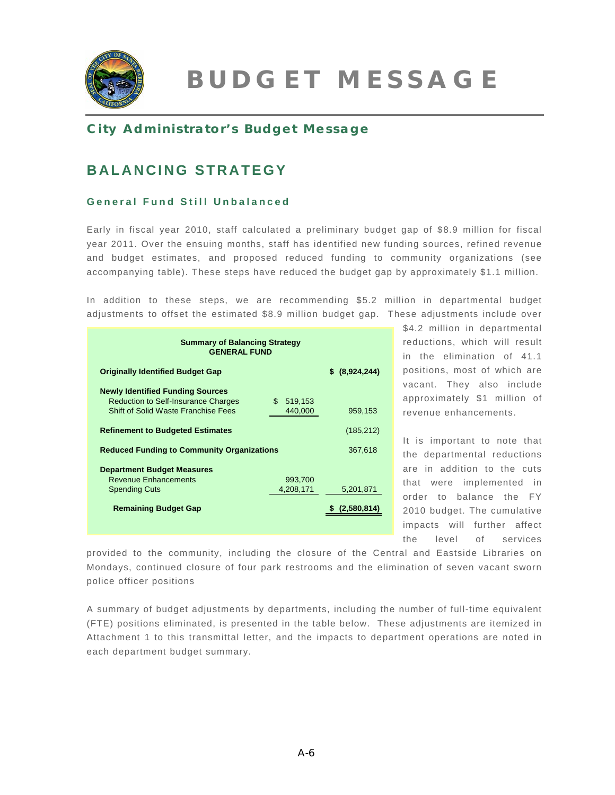

## **BALANCING STRATEGY**

#### **General Fund Still Unbalanced**

Early in fiscal year 2010, staff calculated a preliminary budget gap of \$8.9 million for fiscal year 2011. Over the ensuing months, staff has identified new funding sources, refined revenue and budget estimates, and proposed reduced funding to community organizations (see accompanying table). These steps have reduced the budget gap by approximately \$1.1 million.

In addition to these steps, we are recommending \$5.2 million in departmental budget adjustments to offset the estimated \$8.9 million budget gap. These adjustments include over

| <b>Summary of Balancing Strategy</b><br><b>GENERAL FUND</b>                                                                  |                          |                |  |  |  |  |
|------------------------------------------------------------------------------------------------------------------------------|--------------------------|----------------|--|--|--|--|
| <b>Originally Identified Budget Gap</b>                                                                                      |                          | \$ (8,924,244) |  |  |  |  |
| <b>Newly Identified Funding Sources</b><br><b>Reduction to Self-Insurance Charges</b><br>Shift of Solid Waste Franchise Fees | \$<br>519,153<br>440,000 | 959,153        |  |  |  |  |
| <b>Refinement to Budgeted Estimates</b>                                                                                      |                          | (185, 212)     |  |  |  |  |
| <b>Reduced Funding to Community Organizations</b>                                                                            |                          | 367,618        |  |  |  |  |
| <b>Department Budget Measures</b><br><b>Revenue Enhancements</b><br><b>Spending Cuts</b>                                     | 993,700<br>4,208,171     | 5,201,871      |  |  |  |  |
| <b>Remaining Budget Gap</b>                                                                                                  |                          | (2,580,814)    |  |  |  |  |

\$4.2 million in departmental reductions, which will result in the elimination of 41.1 positions, most of which are vacant. They also include approximately \$1 million of revenue enhancements.

It is important to note that the departmental reductions are in addition to the cuts that were implemented in order to balance the FY 2010 budget. The cumulative impacts will further affect the level of services

provided to the community, including the closure of the Central and Eastside Libraries on Mondays, continued closure of four park restrooms and the elimination of seven vacant sworn police officer positions

A summary of budget adjustments by departments, including the number of full-time equivalent (FTE) positions eliminated, is presented in the table below. These adjustments are itemized in Attachment 1 to this transmittal letter, and the impacts to department operations are noted in each department budget summary.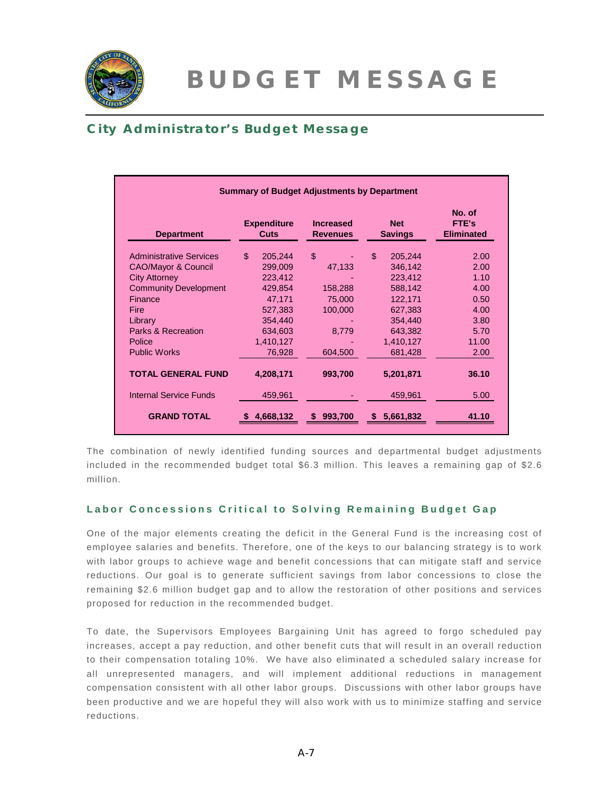

| <b>Department</b>              | <b>Expenditure</b><br><b>Cuts</b> | <b>Increased</b><br><b>Revenues</b> | <b>Net</b><br><b>Savings</b> | No. of<br>FTE's<br><b>Eliminated</b> |
|--------------------------------|-----------------------------------|-------------------------------------|------------------------------|--------------------------------------|
| <b>Administrative Services</b> | \$<br>205,244                     | $\mathfrak{S}$                      | \$<br>205,244                | 2.00                                 |
| CAO/Mayor & Council            | 299,009                           | 47,133                              | 346,142                      | 2.00                                 |
| <b>City Attorney</b>           | 223,412                           |                                     | 223,412                      | 1.10                                 |
| <b>Community Development</b>   | 429,854                           | 158,288                             | 588,142                      | 4.00                                 |
| <b>Finance</b>                 | 47,171                            | 75,000                              | 122,171                      | 0.50                                 |
| Fire                           | 527,383                           | 100,000                             | 627,383                      | 4.00                                 |
| Library                        | 354,440                           |                                     | 354,440                      | 3.80                                 |
| <b>Parks &amp; Recreation</b>  | 634,603                           | 8,779                               | 643,382                      | 5.70                                 |
| Police                         | 1,410,127                         |                                     | 1,410,127                    | 11.00                                |
| <b>Public Works</b>            | 76,928                            | 604,500                             | 681,428                      | 2.00                                 |
| <b>TOTAL GENERAL FUND</b>      | 4,208,171                         | 993,700                             | 5,201,871                    | 36.10                                |
| Internal Service Funds         | 459,961                           |                                     | 459,961                      | 5.00                                 |
| <b>GRAND TOTAL</b>             | 4,668,132                         | 993,700                             | 5,661,832<br>S               | 41.10                                |

The combination of newly identified funding sources and departmental budget adjustments included in the recommended budget total \$6.3 million. This leaves a remaining gap of \$2.6 million.

#### **Labor Concessions Critical to Solving Remaining Budget Gap**

One of the major elements creating the deficit in the General Fund is the increasing cost of employee salaries and benefits. Therefore, one of the keys to our balancing strategy is to work with labor groups to achieve wage and benefit concessions that can mitigate staff and service reductions. Our goal is to generate sufficient savings from labor concessions to close the remaining \$2.6 million budget gap and to allow the restoration of other positions and services proposed for reduction in the recommended budget.

To date, the Supervisors Employees Bargaining Unit has agreed to forgo scheduled pay increases, accept a pay reduction, and other benefit cuts that will result in an overall reduction to their compensation totaling 10%. We have also eliminated a scheduled salary increase for all unrepresented managers, and will implement additional reductions in management compensation consistent with all other labor groups. Discussions with other labor groups have been productive and we are hopeful they will also work with us to minimize staffing and service reductions.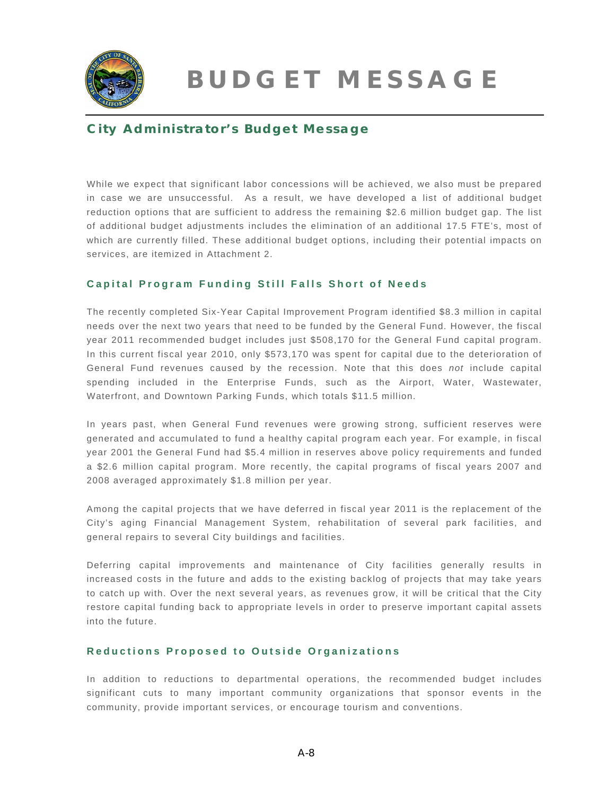

While we expect that significant labor concessions will be achieved, we also must be prepared in case we are unsuccessful. As a result, we have developed a list of additional budget reduction options that are sufficient to address the remaining \$2.6 million budget gap. The list of additional budget adjustments includes the elimination of an additional 17.5 FTE's, most of which are currently filled. These additional budget options, including their potential impacts on services, are itemized in Attachment 2.

#### **Capital Program Funding Still Falls Short of Needs**

The recently completed Six-Year Capital Improvement Program identified \$8.3 million in capital needs over the next two years that need to be funded by the General Fund. However, the fiscal year 2011 recommended budget includes just \$508,170 for the General Fund capital program. In this current fiscal year 2010, only \$573,170 was spent for capital due to the deterioration of General Fund revenues caused by the recession. Note that this does *not* include capital spending included in the Enterprise Funds, such as the Airport, Water, Wastewater, Waterfront, and Downtown Parking Funds, which totals \$11.5 million.

In years past, when General Fund revenues were growing strong, sufficient reserves were generated and accumulated to fund a healthy capital program each year. For example, in fiscal year 2001 the General Fund had \$5.4 million in reserves above policy requirements and funded a \$2.6 million capital program. More recently, the capital programs of fiscal years 2007 and 2008 averaged approximately \$1.8 million per year.

Among the capital projects that we have deferred in fiscal year 2011 is the replacement of the City's aging Financial Management System, rehabilitation of several park facilities, and general repairs to several City buildings and facilities.

Deferring capital improvements and maintenance of City facilities generally results in increased costs in the future and adds to the existing backlog of projects that may take years to catch up with. Over the next several years, as revenues grow, it will be critical that the City restore capital funding back to appropriate levels in order to preserve important capital assets into the future.

#### **Reductions Proposed to Outside Organizations**

In addition to reductions to departmental operations, the recommended budget includes significant cuts to many important community organizations that sponsor events in the community, provide important services, or encourage tourism and conventions.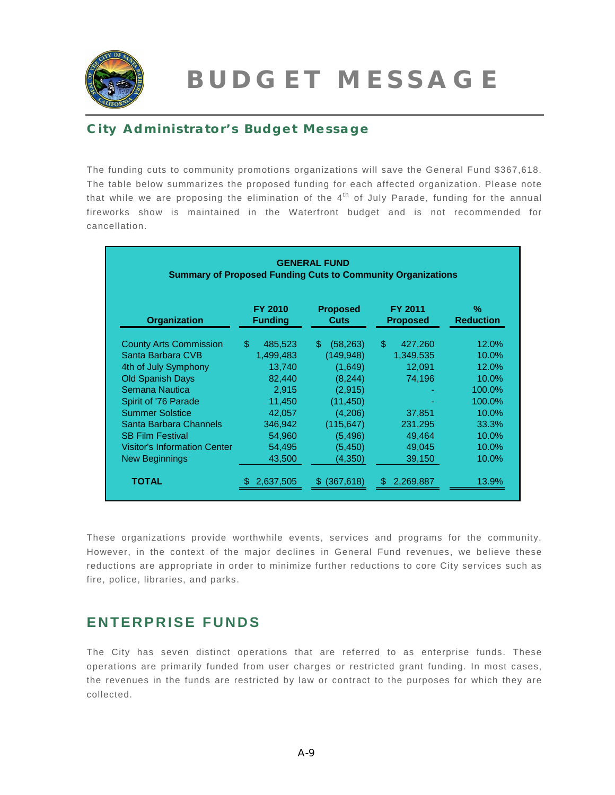

The funding cuts to community promotions organizations will save the General Fund \$367,618. The table below summarizes the proposed funding for each affected organization. Please note that while we are proposing the elimination of the  $4<sup>th</sup>$  of July Parade, funding for the annual fireworks show is maintained in the Waterfront budget and is not recommended for cancellation.

| Organization                        | FY 2010<br><b>Funding</b> | <b>Proposed</b><br>Cuts | <b>FY 2011</b><br><b>Proposed</b> | $\%$<br><b>Reduction</b> |
|-------------------------------------|---------------------------|-------------------------|-----------------------------------|--------------------------|
| <b>County Arts Commission</b>       | \$.<br>485,523            | \$.<br>(58, 263)        | \$<br>427,260                     | 12.0%                    |
| Santa Barbara CVB                   | 1,499,483                 | (149, 948)              | 1,349,535                         | 10.0%                    |
| 4th of July Symphony                | 13,740                    | (1,649)                 | 12.091                            | 12.0%                    |
| <b>Old Spanish Days</b>             | 82,440                    | (8, 244)                | 74,196                            | 10.0%                    |
| Semana Nautica                      | 2,915                     | (2,915)                 |                                   | 100.0%                   |
| Spirit of '76 Parade                | 11,450                    | (11, 450)               |                                   | 100.0%                   |
| <b>Summer Solstice</b>              | 42,057                    | (4,206)                 | 37,851                            | 10.0%                    |
| Santa Barbara Channels              | 346,942                   | (115, 647)              | 231,295                           | 33.3%                    |
| <b>SB Film Festival</b>             | 54,960                    | (5, 496)                | 49,464                            | 10.0%                    |
| <b>Visitor's Information Center</b> | 54,495                    | (5, 450)                | 49,045                            | 10.0%                    |
| <b>New Beginnings</b>               | 43,500                    | (4,350)                 | 39,150                            | 10.0%                    |

These organizations provide worthwhile events, services and programs for the community. However, in the context of the major declines in General Fund revenues, we believe these reductions are appropriate in order to minimize further reductions to core City services such as fire, police, libraries, and parks.

### **ENTERPRISE FUNDS**

The City has seven distinct operations that are referred to as enterprise funds. These operations are primarily funded from user charges or restricted grant funding. In most cases, the revenues in the funds are restricted by law or contract to the purposes for which they are collected.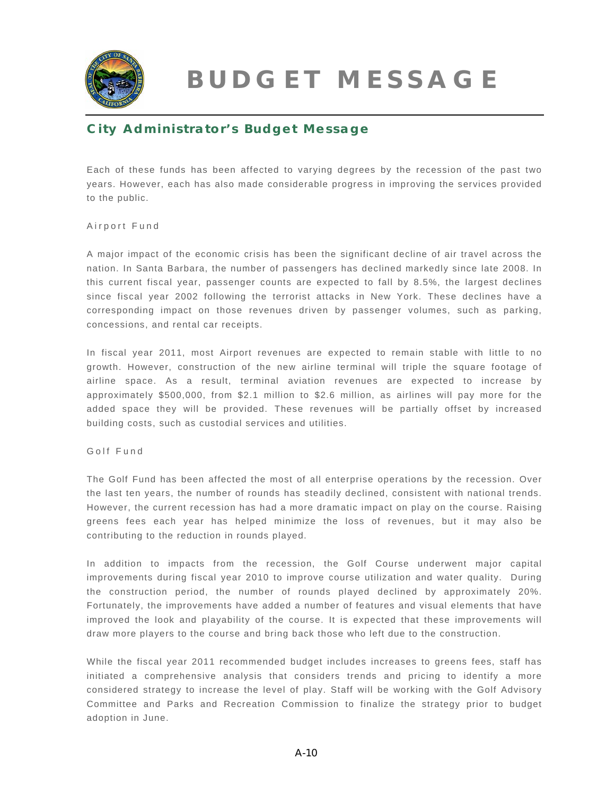

**BUDGET MESSAGE** 

### **City Administrato r's Budget Message**

Each of these funds has been affected to varying degrees by the recession of the past two years. However, each has also made considerable progress in improving the services provided to the public.

#### Airport Fund

A major impact of the economic crisis has been the significant decline of air travel across the nation. In Santa Barbara, the number of passengers has declined markedly since late 2008. In this current fiscal year, passenger counts are expected to fall by 8.5%, the largest declines since fiscal year 2002 following the terrorist attacks in New York. These declines have a corresponding impact on those revenues driven by passenger volumes, such as parking, concessions, and rental car receipts.

In fiscal year 2011, most Airport revenues are expected to remain stable with little to no growth. However, construction of the new airline terminal will triple the square footage of airline space. As a result, terminal aviation revenues are expected to increase by approximately \$500,000, from \$2.1 million to \$2.6 million, as airlines will pay more for the added space they will be provided. These revenues will be partially offset by increased building costs, such as custodial services and utilities.

#### Golf Fund

The Golf Fund has been affected the most of all enterprise operations by the recession. Over the last ten years, the number of rounds has steadily declined, consistent with national trends. However, the current recession has had a more dramatic impact on play on the course. Raising greens fees each year has helped minimize the loss of revenues, but it may also be contributing to the reduction in rounds played.

In addition to impacts from the recession, the Golf Course underwent major capital improvements during fiscal year 2010 to improve course utilization and water quality. During the construction period, the number of rounds played declined by approximately 20%. Fortunately, the improvements have added a number of features and visual elements that have improved the look and playability of the course. It is expected that these improvements will draw more players to the course and bring back those who left due to the construction.

While the fiscal year 2011 recommended budget includes increases to greens fees, staff has initiated a comprehensive analysis that considers trends and pricing to identify a more considered strategy to increase the level of play. Staff will be working with the Golf Advisory Committee and Parks and Recreation Commission to finalize the strategy prior to budget adoption in June.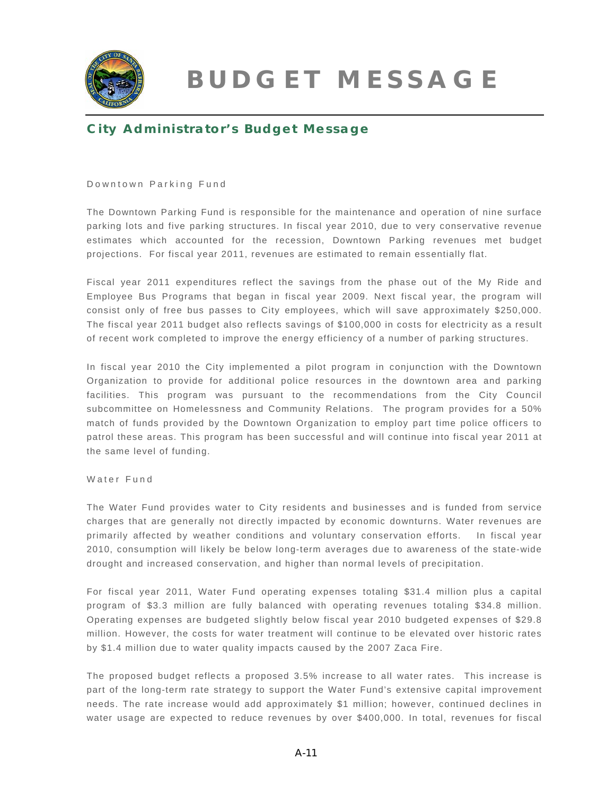

Downtown Parking Fund

The Downtown Parking Fund is responsible for the maintenance and operation of nine surface parking lots and five parking structures. In fiscal year 2010, due to very conservative revenue estimates which accounted for the recession, Downtown Parking revenues met budget projections. For fiscal year 2011, revenues are estimated to remain essentially flat.

Fiscal year 2011 expenditures reflect the savings from the phase out of the My Ride and Employee Bus Programs that began in fiscal year 2009. Next fiscal year, the program will consist only of free bus passes to City employees, which will save approximately \$250,000. The fiscal year 2011 budget also reflects savings of \$100,000 in costs for electricity as a result of recent work completed to improve the energy efficiency of a number of parking structures.

In fiscal year 2010 the City implemented a pilot program in conjunction with the Downtown Organization to provide for additional police resources in the downtown area and parking facilities. This program was pursuant to the recommendations from the City Council subcommittee on Homelessness and Community Relations. The program provides for a 50% match of funds provided by the Downtown Organization to employ part time police officers to patrol these areas. This program has been successful and will continue into fiscal year 2011 at the same level of funding.

#### Water Fund

The Water Fund provides water to City residents and businesses and is funded from service charges that are generally not directly impacted by economic downturns. Water revenues are primarily affected by weather conditions and voluntary conservation efforts. In fiscal year 2010, consumption will likely be below long-term averages due to awareness of the state-wide drought and increased conservation, and higher than normal levels of precipitation.

For fiscal year 2011, Water Fund operating expenses totaling \$31.4 million plus a capital program of \$3.3 million are fully balanced with operating revenues totaling \$34.8 million. Operating expenses are budgeted slightly below fiscal year 2010 budgeted expenses of \$29.8 million. However, the costs for water treatment will continue to be elevated over historic rates by \$1.4 million due to water quality impacts caused by the 2007 Zaca Fire.

The proposed budget reflects a proposed 3.5% increase to all water rates. This increase is part of the long-term rate strategy to support the Water Fund's extensive capital improvement needs. The rate increase would add approximately \$1 million; however, continued declines in water usage are expected to reduce revenues by over \$400,000. In total, revenues for fiscal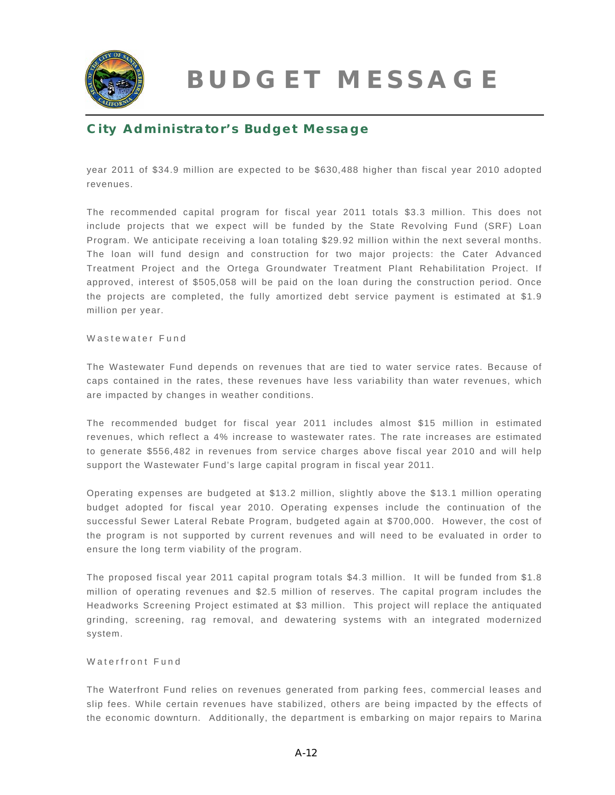

**BUDGET MESSAGE** 

### **City Administrato r's Budget Message**

year 2011 of \$34.9 million are expected to be \$630,488 higher than fiscal year 2010 adopted revenues.

The recommended capital program for fiscal year 2011 totals \$3.3 million. This does not include projects that we expect will be funded by the State Revolving Fund (SRF) Loan Program. We anticipate receiving a loan totaling \$29.92 million within the next several months. The loan will fund design and construction for two major projects: the Cater Advanced Treatment Project and the Ortega Groundwater Treatment Plant Rehabilitation Project. If approved, interest of \$505,058 will be paid on the loan during the construction period. Once the projects are completed, the fully amortized debt service payment is estimated at \$1.9 million per year.

#### Wastewater Fund

The Wastewater Fund depends on revenues that are tied to water service rates. Because of caps contained in the rates, these revenues have less variability than water revenues, which are impacted by changes in weather conditions.

The recommended budget for fiscal year 2011 includes almost \$15 million in estimated revenues, which reflect a 4% increase to wastewater rates. The rate increases are estimated to generate \$556,482 in revenues from service charges above fiscal year 2010 and will help support the Wastewater Fund's large capital program in fiscal year 2011.

Operating expenses are budgeted at \$13.2 million, slightly above the \$13.1 million operating budget adopted for fiscal year 2010. Operating expenses include the continuation of the successful Sewer Lateral Rebate Program, budgeted again at \$700,000. However, the cost of the program is not supported by current revenues and will need to be evaluated in order to ensure the long term viability of the program.

The proposed fiscal year 2011 capital program totals \$4.3 million. It will be funded from \$1.8 million of operating revenues and \$2.5 million of reserves. The capital program includes the Headworks Screening Project estimated at \$3 million. This project will replace the antiquated grinding, screening, rag removal, and dewatering systems with an integrated modernized system.

#### Waterfront Fund

The Waterfront Fund relies on revenues generated from parking fees, commercial leases and slip fees. While certain revenues have stabilized, others are being impacted by the effects of the economic downturn. Additionally, the department is embarking on major repairs to Marina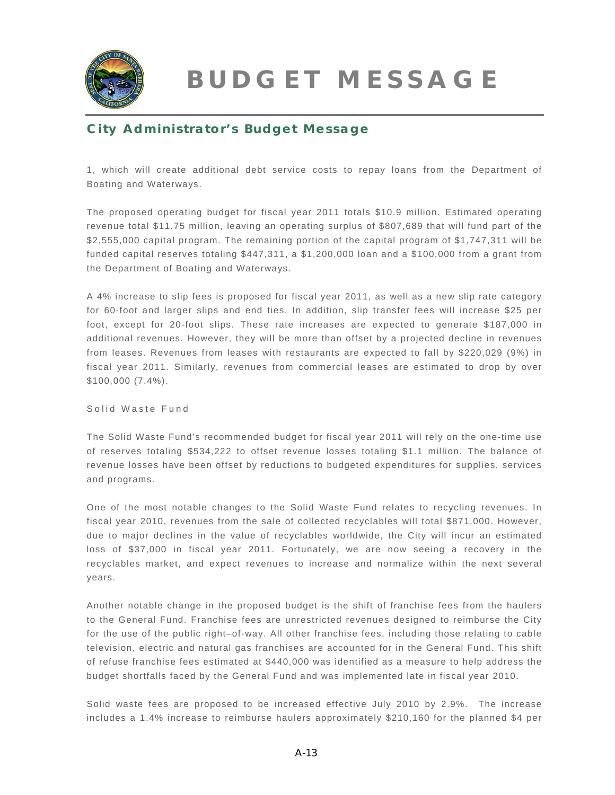

1, which will create additional debt service costs to repay loans from the Department of Boating and Waterways.

The proposed operating budget for fiscal year 2011 totals \$10.9 million. Estimated operating revenue total \$11.75 million, leaving an operating surplus of \$807,689 that will fund part of the \$2,555,000 capital program. The remaining portion of the capital program of \$1,747,311 will be funded capital reserves totaling \$447,311, a \$1,200,000 loan and a \$100,000 from a grant from the Department of Boating and Waterways.

A 4% increase to slip fees is proposed for fiscal year 2011, as well as a new slip rate category for 60-foot and larger slips and end ties. In addition, slip transfer fees will increase \$25 per foot, except for 20-foot slips. These rate increases are expected to generate \$187,000 in additional revenues. However, they will be more than offset by a projected decline in revenues from leases. Revenues from leases with restaurants are expected to fall by \$220,029 (9%) in fiscal year 2011. Similarly, revenues from commercial leases are estimated to drop by over \$100,000 (7.4%).

Solid Waste Fund

The Solid Waste Fund's recommended budget for fiscal year 2011 will rely on the one-time use of reserves totaling \$534,222 to offset revenue losses totaling \$1.1 million. The balance of revenue losses have been offset by reductions to budgeted expenditures for supplies, services and programs.

One of the most notable changes to the Solid Waste Fund relates to recycling revenues. In fiscal year 2010, revenues from the sale of collected recyclables will total \$871,000. However, due to major declines in the value of recyclables worldwide, the City will incur an estimated loss of \$37,000 in fiscal year 2011. Fortunately, we are now seeing a recovery in the recyclables market, and expect revenues to increase and normalize within the next several years.

Another notable change in the proposed budget is the shift of franchise fees from the haulers to the General Fund. Franchise fees are unrestricted revenues designed to reimburse the City for the use of the public right–of-way. All other franchise fees, including those relating to cable television, electric and natural gas franchises are accounted for in the General Fund. This shift of refuse franchise fees estimated at \$440,000 was identified as a measure to help address the budget shortfalls faced by the General Fund and was implemented late in fiscal year 2010.

Solid waste fees are proposed to be increased effective July 2010 by 2.9%. The increase includes a 1.4% increase to reimburse haulers approximately \$210,160 for the planned \$4 per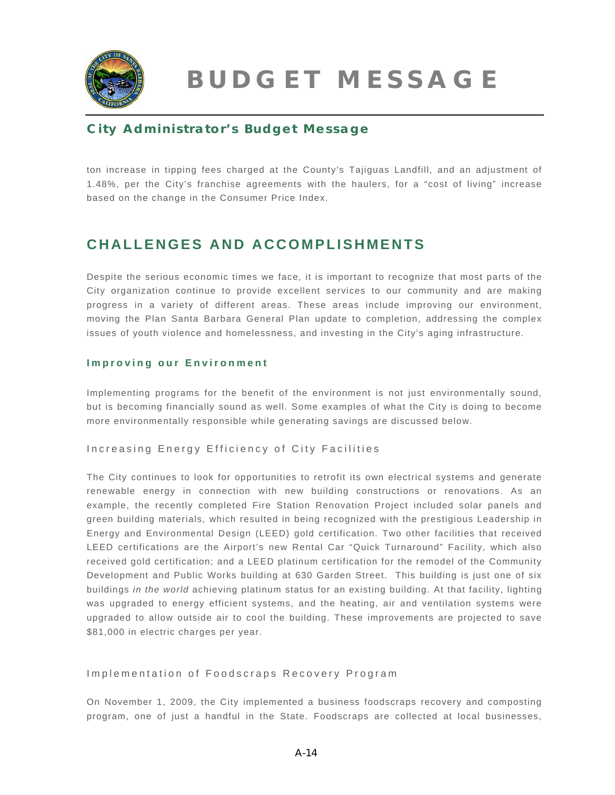

ton increase in tipping fees charged at the County's Tajiguas Landfill, and an adjustment of 1.48%, per the City's franchise agreements with the haulers, for a "cost of living" increase based on the change in the Consumer Price Index.

## **CHALLENGES AND ACCOMPLISHMENTS**

Despite the serious economic times we face, it is important to recognize that most parts of the City organization continue to provide excellent services to our community and are making progress in a variety of different areas. These areas include improving our environment, moving the Plan Santa Barbara General Plan update to completion, addressing the complex issues of youth violence and homelessness, and investing in the City's aging infrastructure.

#### **Improving our Environment**

Implementing programs for the benefit of the environment is not just environmentally sound, but is becoming financially sound as well. Some examples of what the City is doing to become more environmentally responsible while generating savings are discussed below.

#### Increasing Energy Efficiency of City Facilities

The City continues to look for opportunities to retrofit its own electrical systems and generate renewable energy in connection with new building constructions or renovations. As an example, the recently completed Fire Station Renovation Project included solar panels and green building materials, which resulted in being recognized with the prestigious Leadership in Energy and Environmental Design (LEED) gold certification. Two other facilities that received LEED certifications are the Airport's new Rental Car "Quick Turnaround" Facility, which also received gold certification; and a LEED platinum certification for the remodel of the Community Development and Public Works building at 630 Garden Street. This building is just one of six buildings *in the world* achieving platinum status for an existing building. At that facility, lighting was upgraded to energy efficient systems, and the heating, air and ventilation systems were upgraded to allow outside air to cool the building. These improvements are projected to save \$81,000 in electric charges per year.

#### Implementation of Foodscraps Recovery Program

On November 1, 2009, the City implemented a business foodscraps recovery and composting program, one of just a handful in the State. Foodscraps are collected at local businesses,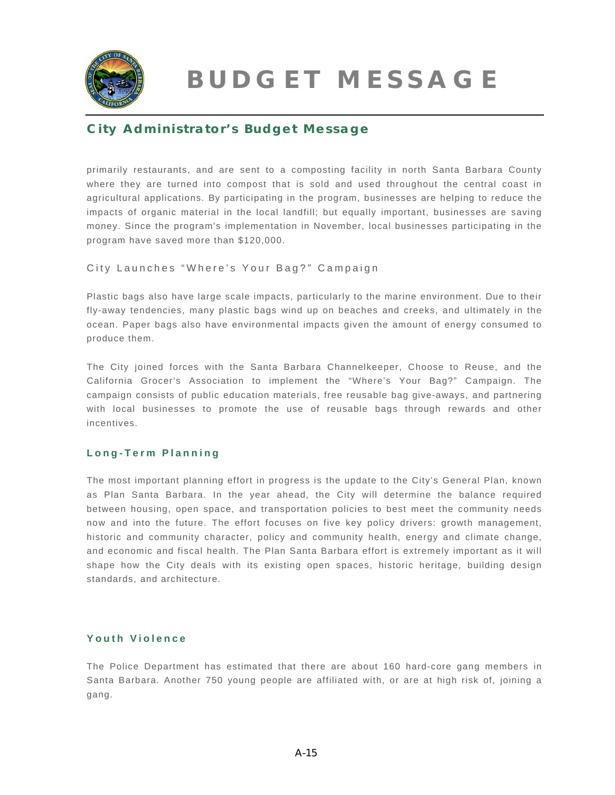

# **BUDGET MESSAGE**

### **City Administrato r's Budget Message**

primarily restaurants, and are sent to a composting facility in north Santa Barbara County where they are turned into compost that is sold and used throughout the central coast in agricultural applications. By participating in the program, businesses are helping to reduce the impacts of organic material in the local landfill; but equally important, businesses are saving money. Since the program's implementation in November, local businesses participating in the program have saved more than \$120,000.

#### City Launches "Where's Your Bag?" Campaign

Plastic bags also have large scale impacts, particularly to the marine environment. Due to their fly-away tendencies, many plastic bags wind up on beaches and creeks, and ultimately in the ocean. Paper bags also have environmental impacts given the amount of energy consumed to produce them.

The City joined forces with the Santa Barbara Channelkeeper, Choose to Reuse, and the California Grocer's Association to implement the "Where's Your Bag?" Campaign. The campaign consists of public education materials, free reusable bag give-aways, and partnering with local businesses to promote the use of reusable bags through rewards and other incentives.

#### **Long-Term Planning**

The most important planning effort in progress is the update to the City's General Plan, known as Plan Santa Barbara. In the year ahead, the City will determine the balance required between housing, open space, and transportation policies to best meet the community needs now and into the future. The effort focuses on five key policy drivers: growth management, historic and community character, policy and community health, energy and climate change, and economic and fiscal health. The Plan Santa Barbara effort is extremely important as it will shape how the City deals with its existing open spaces, historic heritage, building design standards, and architecture.

#### **Youth Violence**

The Police Department has estimated that there are about 160 hard-core gang members in Santa Barbara. Another 750 young people are affiliated with, or are at high risk of, joining a gang.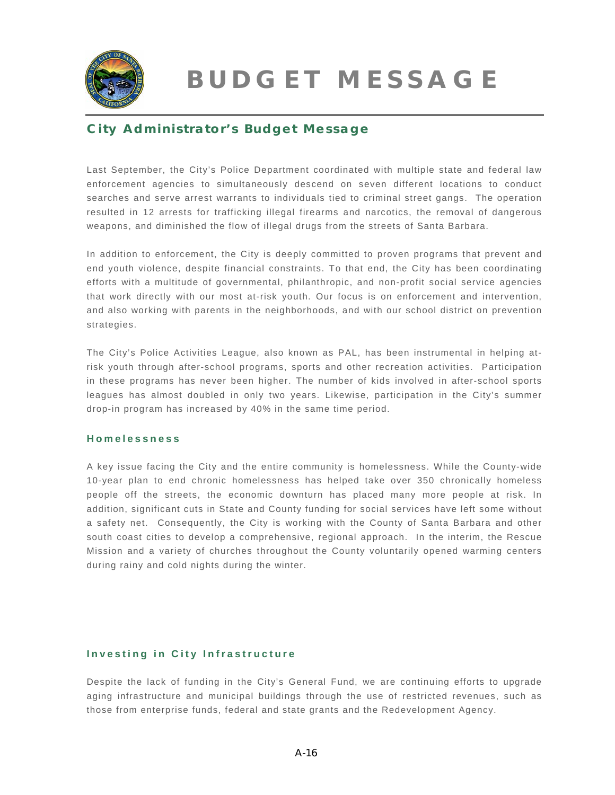

# **BUDGET MESSAGE**

### **City Administrato r's Budget Message**

Last September, the City's Police Department coordinated with multiple state and federal law enforcement agencies to simultaneously descend on seven different locations to conduct searches and serve arrest warrants to individuals tied to criminal street gangs. The operation resulted in 12 arrests for trafficking illegal firearms and narcotics, the removal of dangerous weapons, and diminished the flow of illegal drugs from the streets of Santa Barbara.

In addition to enforcement, the City is deeply committed to proven programs that prevent and end youth violence, despite financial constraints. To that end, the City has been coordinating efforts with a multitude of governmental, philanthropic, and non-profit social service agencies that work directly with our most at-risk youth. Our focus is on enforcement and intervention, and also working with parents in the neighborhoods, and with our school district on prevention strategies.

The City's Police Activities League, also known as PAL, has been instrumental in helping atrisk youth through after-school programs, sports and other recreation activities. Participation in these programs has never been higher. The number of kids involved in after-school sports leagues has almost doubled in only two years. Likewise, participation in the City's summer drop-in program has increased by 40% in the same time period.

#### **Homelessness**

A key issue facing the City and the entire community is homelessness. While the County-wide 10-year plan to end chronic homelessness has helped take over 350 chronically homeless people off the streets, the economic downturn has placed many more people at risk. In addition, significant cuts in State and County funding for social services have left some without a safety net. Consequently, the City is working with the County of Santa Barbara and other south coast cities to develop a comprehensive, regional approach. In the interim, the Rescue Mission and a variety of churches throughout the County voluntarily opened warming centers during rainy and cold nights during the winter.

#### **Investing in City Infrastructure**

Despite the lack of funding in the City's General Fund, we are continuing efforts to upgrade aging infrastructure and municipal buildings through the use of restricted revenues, such as those from enterprise funds, federal and state grants and the Redevelopment Agency.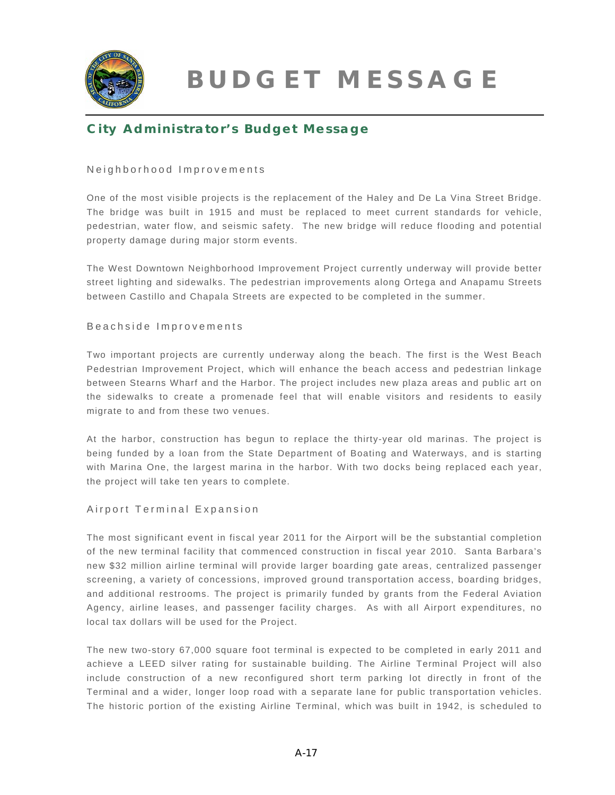

#### Neighborhood Improvements

One of the most visible projects is the replacement of the Haley and De La Vina Street Bridge. The bridge was built in 1915 and must be replaced to meet current standards for vehicle, pedestrian, water flow, and seismic safety. The new bridge will reduce flooding and potential property damage during major storm events.

The West Downtown Neighborhood Improvement Project currently underway will provide better street lighting and sidewalks. The pedestrian improvements along Ortega and Anapamu Streets between Castillo and Chapala Streets are expected to be completed in the summer.

#### Beachside Improvements

Two important projects are currently underway along the beach. The first is the West Beach Pedestrian Improvement Project, which will enhance the beach access and pedestrian linkage between Stearns Wharf and the Harbor. The project includes new plaza areas and public art on the sidewalks to create a promenade feel that will enable visitors and residents to easily migrate to and from these two venues.

At the harbor, construction has begun to replace the thirty-year old marinas. The project is being funded by a loan from the State Department of Boating and Waterways, and is starting with Marina One, the largest marina in the harbor. With two docks being replaced each year, the project will take ten years to complete.

#### Airport Terminal Expansion

The most significant event in fiscal year 2011 for the Airport will be the substantial completion of the new terminal facility that commenced construction in fiscal year 2010. Santa Barbara's new \$32 million airline terminal will provide larger boarding gate areas, centralized passenger screening, a variety of concessions, improved ground transportation access, boarding bridges, and additional restrooms. The project is primarily funded by grants from the Federal Aviation Agency, airline leases, and passenger facility charges. As with all Airport expenditures, no local tax dollars will be used for the Project.

The new two-story 67,000 square foot terminal is expected to be completed in early 2011 and achieve a LEED silver rating for sustainable building. The Airline Terminal Project will also include construction of a new reconfigured short term parking lot directly in front of the Terminal and a wider, longer loop road with a separate lane for public transportation vehicles. The historic portion of the existing Airline Terminal, which was built in 1942, is scheduled to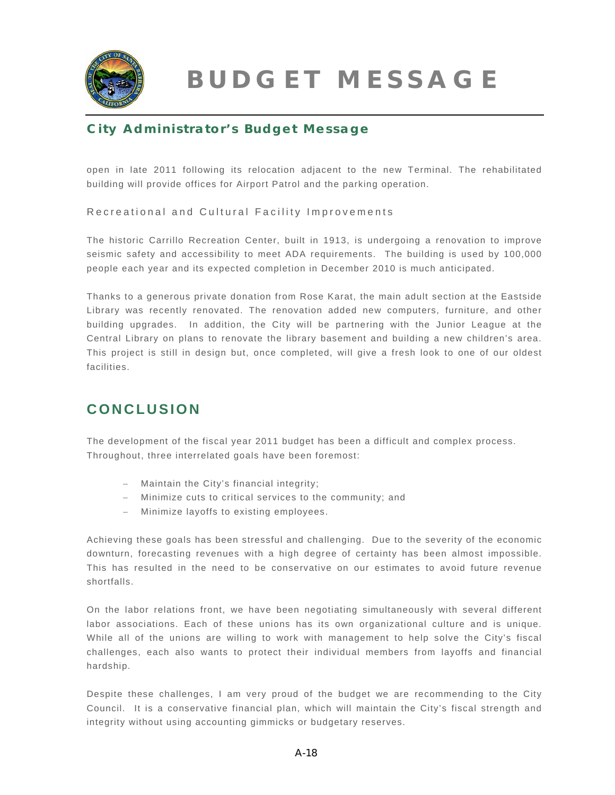

open in late 2011 following its relocation adjacent to the new Terminal. The rehabilitated building will provide offices for Airport Patrol and the parking operation.

Recreational and Cultural Facility Improvements

The historic Carrillo Recreation Center, built in 1913, is undergoing a renovation to improve seismic safety and accessibility to meet ADA requirements. The building is used by 100,000 people each year and its expected completion in December 2010 is much anticipated.

Thanks to a generous private donation from Rose Karat, the main adult section at the Eastside Library was recently renovated. The renovation added new computers, furniture, and other building upgrades. In addition, the City will be partnering with the Junior League at the Central Library on plans to renovate the library basement and building a new children's area. This project is still in design but, once completed, will give a fresh look to one of our oldest facilities.

## **CONCLUSION**

The development of the fiscal year 2011 budget has been a difficult and complex process. Throughout, three interrelated goals have been foremost:

- Maintain the City's financial integrity;
- Minimize cuts to critical services to the community; and
- Minimize layoffs to existing employees.

Achieving these goals has been stressful and challenging. Due to the severity of the economic downturn, forecasting revenues with a high degree of certainty has been almost impossible. This has resulted in the need to be conservative on our estimates to avoid future revenue shortfalls.

On the labor relations front, we have been negotiating simultaneously with several different labor associations. Each of these unions has its own organizational culture and is unique. While all of the unions are willing to work with management to help solve the City's fiscal challenges, each also wants to protect their individual members from layoffs and financial hardship.

Despite these challenges, I am very proud of the budget we are recommending to the City Council. It is a conservative financial plan, which will maintain the City's fiscal strength and integrity without using accounting gimmicks or budgetary reserves.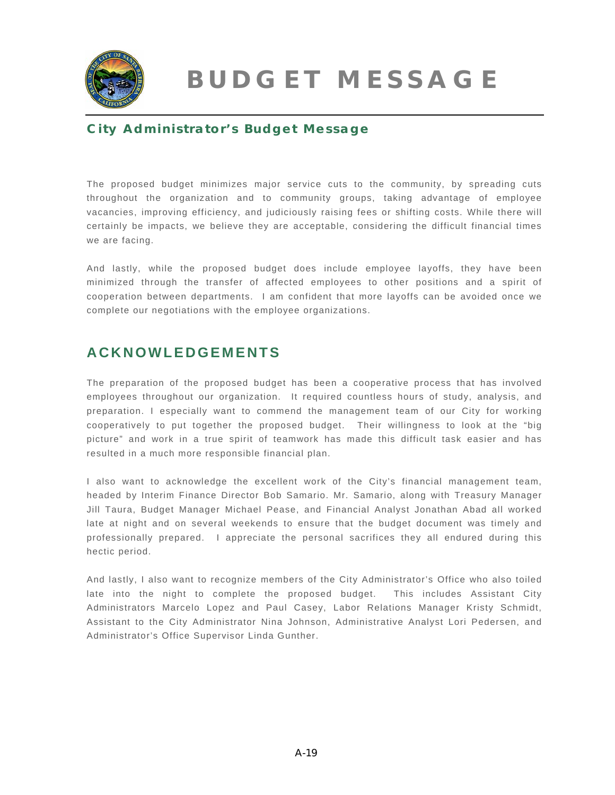

The proposed budget minimizes major service cuts to the community, by spreading cuts throughout the organization and to community groups, taking advantage of employee vacancies, improving efficiency, and judiciously raising fees or shifting costs. While there will certainly be impacts, we believe they are acceptable, considering the difficult financial times we are facing.

And lastly, while the proposed budget does include employee layoffs, they have been minimized through the transfer of affected employees to other positions and a spirit of cooperation between departments. I am confident that more layoffs can be avoided once we complete our negotiations with the employee organizations.

### **ACKNOWLEDGEMENTS**

The preparation of the proposed budget has been a cooperative process that has involved employees throughout our organization. It required countless hours of study, analysis, and preparation. I especially want to commend the management team of our City for working cooperatively to put together the proposed budget. Their willingness to look at the "big picture" and work in a true spirit of teamwork has made this difficult task easier and has resulted in a much more responsible financial plan.

I also want to acknowledge the excellent work of the City's financial management team, headed by Interim Finance Director Bob Samario. Mr. Samario, along with Treasury Manager Jill Taura, Budget Manager Michael Pease, and Financial Analyst Jonathan Abad all worked late at night and on several weekends to ensure that the budget document was timely and professionally prepared. I appreciate the personal sacrifices they all endured during this hectic period.

And lastly, I also want to recognize members of the City Administrator's Office who also toiled late into the night to complete the proposed budget. This includes Assistant City Administrators Marcelo Lopez and Paul Casey, Labor Relations Manager Kristy Schmidt, Assistant to the City Administrator Nina Johnson, Administrative Analyst Lori Pedersen, and Administrator's Office Supervisor Linda Gunther.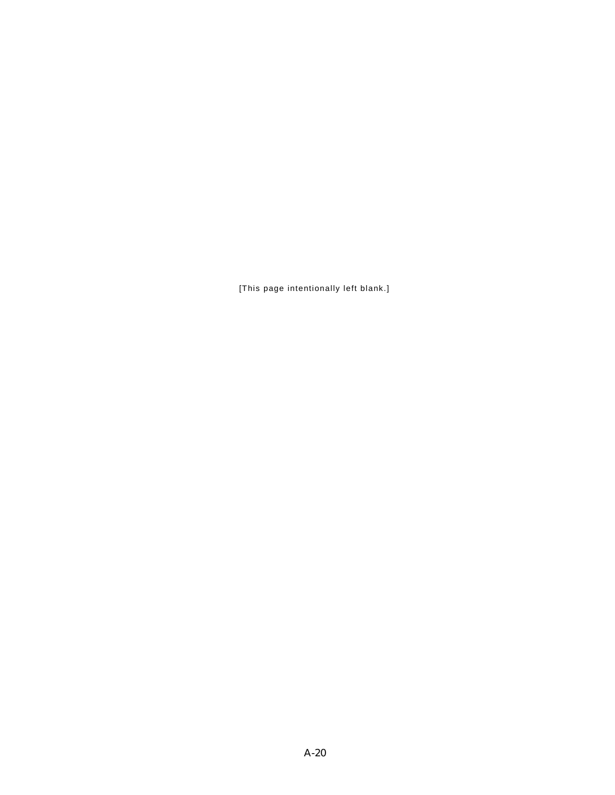[This page intentionally left blank.]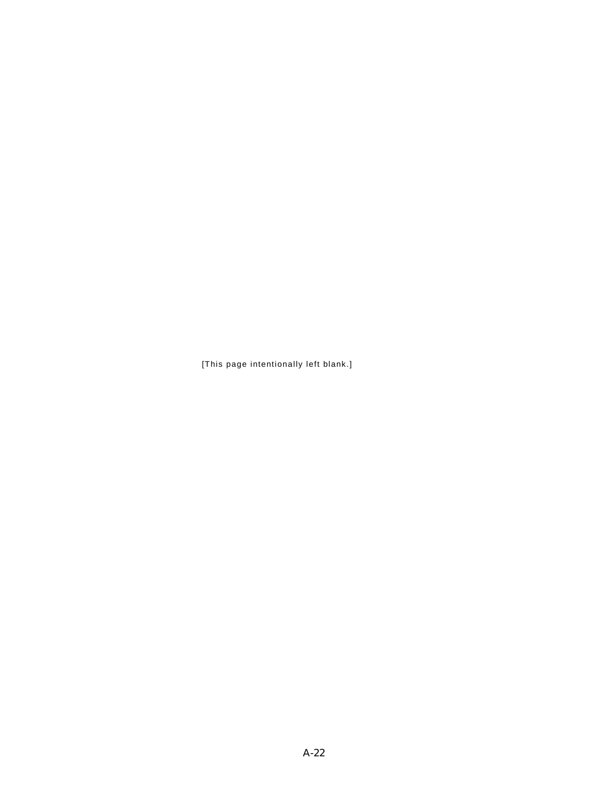[This page intentionally left blank.]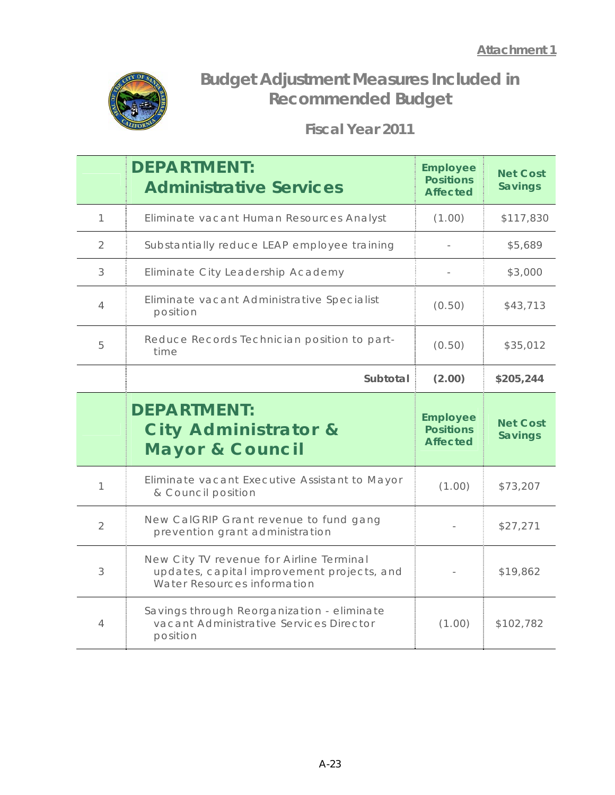

|                | <b>DEPARTMENT:</b><br><b>Administrative Services</b>                                                                  | <b>Employee</b><br><b>Positions</b><br><b>Affected</b> | <b>Net Cost</b><br><b>Savings</b> |
|----------------|-----------------------------------------------------------------------------------------------------------------------|--------------------------------------------------------|-----------------------------------|
| 1              | Eliminate vacant Human Resources Analyst                                                                              | (1.00)                                                 | \$117,830                         |
| $\overline{2}$ | Substantially reduce LEAP employee training                                                                           |                                                        | \$5,689                           |
| 3              | Eliminate City Leadership Academy                                                                                     |                                                        | \$3,000                           |
| 4              | Eliminate vacant Administrative Specialist<br>position                                                                | (0.50)                                                 | \$43,713                          |
| 5              | Reduce Records Technician position to part-<br>time                                                                   | (0.50)                                                 | \$35,012                          |
|                | Subtotal                                                                                                              | (2.00)                                                 | \$205,244                         |
|                | DEPARTMENT:<br>City Administrator &<br><b>Mayor &amp; Council</b>                                                     | <b>Employee</b><br><b>Positions</b><br><b>Affected</b> | <b>Net Cost</b><br><b>Savings</b> |
| 1              | Eliminate vacant Executive Assistant to Mayor<br>& Council position                                                   | (1.00)                                                 | \$73,207                          |
| $\overline{2}$ | New CalGRIP Grant revenue to fund gang<br>prevention grant administration                                             |                                                        | \$27,271                          |
| 3              | New City TV revenue for Airline Terminal<br>updates, capital improvement projects, and<br>Water Resources information |                                                        | \$19,862                          |
| 4              | Savings through Reorganization - eliminate<br>vacant Administrative Services Director<br>position                     | (1.00)                                                 | \$102,782                         |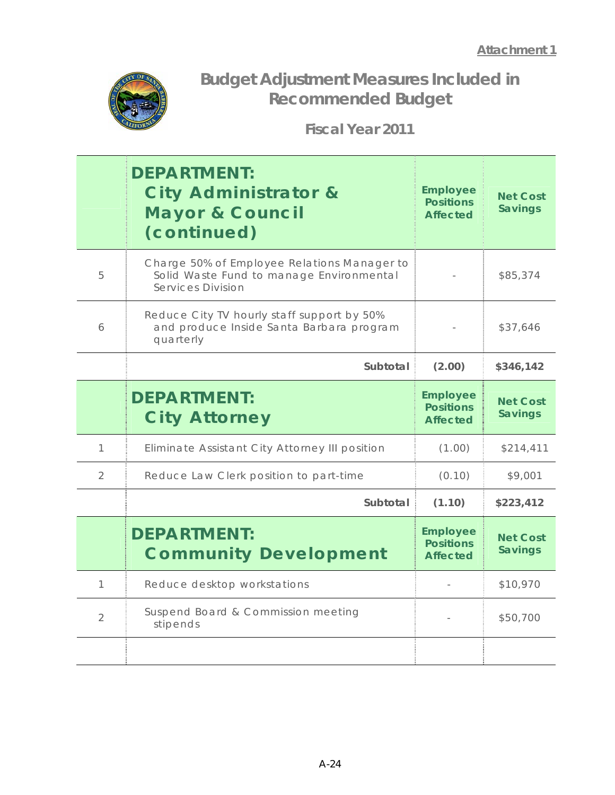

|                | DEPARTMENT:<br>City Administrator &<br><b>Mayor &amp; Council</b><br>(continued)                             | <b>Employee</b><br><b>Positions</b><br><b>Affected</b> | <b>Net Cost</b><br><b>Savings</b> |
|----------------|--------------------------------------------------------------------------------------------------------------|--------------------------------------------------------|-----------------------------------|
| 5              | Charge 50% of Employee Relations Manager to<br>Solid Waste Fund to manage Environmental<br>Services Division |                                                        | \$85,374                          |
| 6              | Reduce City TV hourly staff support by 50%<br>and produce Inside Santa Barbara program<br>quarterly          |                                                        | \$37,646                          |
|                | Subtotal                                                                                                     | (2.00)                                                 | \$346,142                         |
|                | <b>DEPARTMENT:</b><br><b>City Attorney</b>                                                                   | <b>Employee</b><br><b>Positions</b><br><b>Affected</b> | <b>Net Cost</b><br><b>Savings</b> |
| 1              | Eliminate Assistant City Attorney III position                                                               | (1.00)                                                 | \$214,411                         |
| 2              | Reduce Law Clerk position to part-time                                                                       | (0.10)                                                 | \$9,001                           |
|                | Subtotal                                                                                                     | (1.10)                                                 | \$223,412                         |
|                | <b>DEPARTMENT:</b><br><b>Community Development</b>                                                           | <b>Employee</b><br><b>Positions</b><br><b>Affected</b> | <b>Net Cost</b><br><b>Savings</b> |
| 1              | Reduce desktop workstations                                                                                  |                                                        | \$10,970                          |
| $\overline{2}$ | Suspend Board & Commission meeting<br>stipends                                                               |                                                        | \$50,700                          |
|                |                                                                                                              |                                                        |                                   |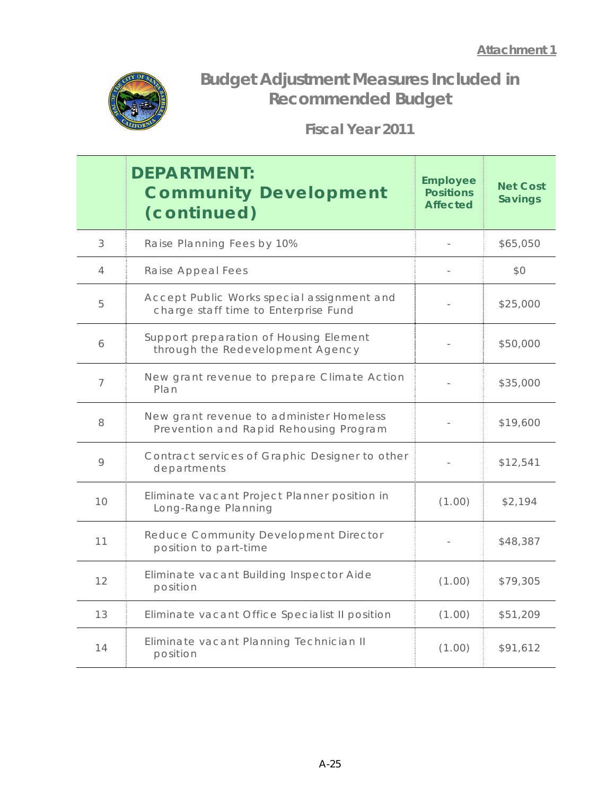

|    | DEPARTMENT:<br><b>Community Development</b><br>(continued)                         | <b>Employee</b><br><b>Positions</b><br><b>Affected</b> | <b>Net Cost</b><br><b>Savings</b> |
|----|------------------------------------------------------------------------------------|--------------------------------------------------------|-----------------------------------|
| 3  | Raise Planning Fees by 10%                                                         |                                                        | \$65,050                          |
| 4  | Raise Appeal Fees                                                                  |                                                        | \$0                               |
| 5  | Accept Public Works special assignment and<br>charge staff time to Enterprise Fund |                                                        | \$25,000                          |
| 6  | Support preparation of Housing Element<br>through the Redevelopment Agency         |                                                        | \$50,000                          |
| 7  | New grant revenue to prepare Climate Action<br>Plan                                |                                                        | \$35,000                          |
| 8  | New grant revenue to administer Homeless<br>Prevention and Rapid Rehousing Program |                                                        | \$19,600                          |
| 9  | Contract services of Graphic Designer to other<br>departments                      |                                                        | \$12,541                          |
| 10 | Eliminate vacant Project Planner position in<br>Long-Range Planning                | (1.00)                                                 | \$2,194                           |
| 11 | Reduce Community Development Director<br>position to part-time                     |                                                        | \$48,387                          |
| 12 | Eliminate vacant Building Inspector Aide<br>position                               | (1.00)                                                 | \$79,305                          |
| 13 | Eliminate vacant Office Specialist II position                                     | (1.00)                                                 | \$51,209                          |
| 14 | Eliminate vacant Planning Technician II<br>position                                | (1.00)                                                 | \$91,612                          |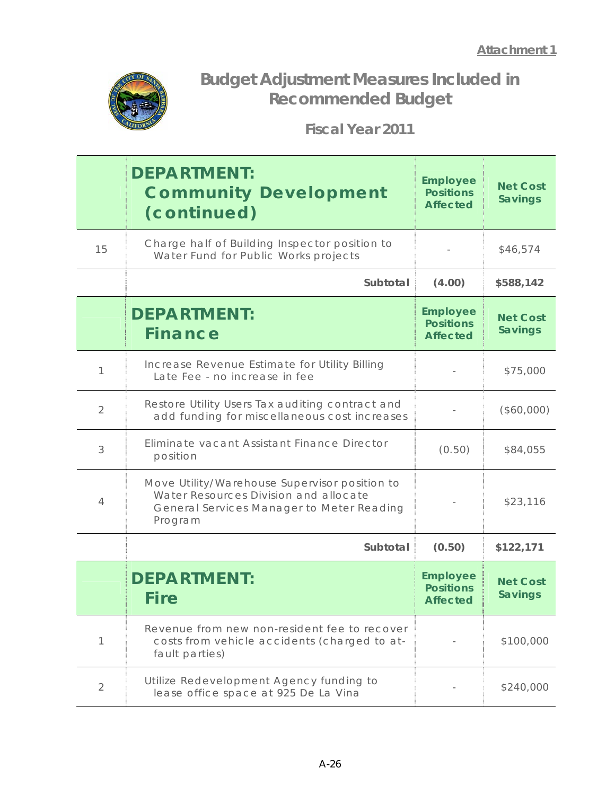

|                | <b>DEPARTMENT:</b><br><b>Community Development</b><br>(continued)                                                                              | <b>Employee</b><br><b>Positions</b><br><b>Affected</b> | <b>Net Cost</b><br><b>Savings</b> |
|----------------|------------------------------------------------------------------------------------------------------------------------------------------------|--------------------------------------------------------|-----------------------------------|
| 15             | Charge half of Building Inspector position to<br>Water Fund for Public Works projects                                                          |                                                        | \$46,574                          |
|                | Subtotal                                                                                                                                       | (4.00)                                                 | \$588,142                         |
|                | <b>DEPARTMENT:</b><br>Finance                                                                                                                  | <b>Employee</b><br><b>Positions</b><br><b>Affected</b> | <b>Net Cost</b><br><b>Savings</b> |
| 1              | Increase Revenue Estimate for Utility Billing<br>Late Fee - no increase in fee                                                                 |                                                        | \$75,000                          |
| 2              | Restore Utility Users Tax auditing contract and<br>add funding for miscellaneous cost increases                                                |                                                        | $(\$60,000)$                      |
| 3              | Eliminate vacant Assistant Finance Director<br>position                                                                                        | (0.50)                                                 | \$84,055                          |
| 4              | Move Utility/Warehouse Supervisor position to<br>Water Resources Division and allocate<br>General Services Manager to Meter Reading<br>Program |                                                        | \$23,116                          |
|                | Subtotal                                                                                                                                       | (0.50)                                                 | \$122,171                         |
|                | <b>DEPARTMENT:</b><br>Fire                                                                                                                     | <b>Employee</b><br><b>Positions</b><br><b>Affected</b> | <b>Net Cost</b><br><b>Savings</b> |
| 1              | Revenue from new non-resident fee to recover<br>costs from vehicle accidents (charged to at-<br>fault parties)                                 |                                                        | \$100,000                         |
| $\overline{2}$ | Utilize Redevelopment Agency funding to<br>lease office space at 925 De La Vina                                                                |                                                        | \$240,000                         |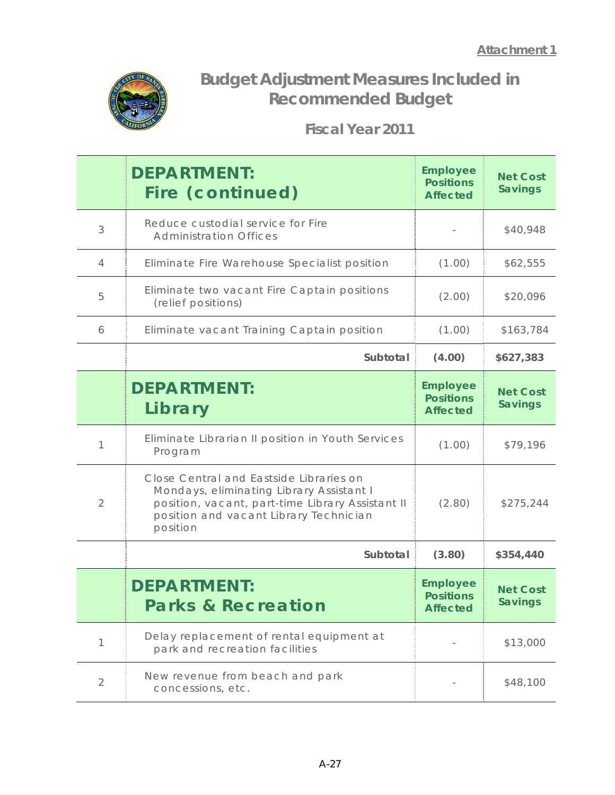

|                | <b>DEPARTMENT:</b><br>Fire (continued)                                                                                                                                                        | <b>Employee</b><br><b>Positions</b><br><b>Affected</b> | <b>Net Cost</b><br><b>Savings</b> |
|----------------|-----------------------------------------------------------------------------------------------------------------------------------------------------------------------------------------------|--------------------------------------------------------|-----------------------------------|
| 3              | Reduce custodial service for Fire<br><b>Administration Offices</b>                                                                                                                            |                                                        | \$40,948                          |
| 4              | Eliminate Fire Warehouse Specialist position                                                                                                                                                  | (1.00)                                                 | \$62,555                          |
| 5              | Eliminate two vacant Fire Captain positions<br>(relief positions)                                                                                                                             | (2.00)                                                 | \$20,096                          |
| 6              | Eliminate vacant Training Captain position                                                                                                                                                    | (1.00)                                                 | \$163,784                         |
|                | Subtotal                                                                                                                                                                                      | (4.00)                                                 | \$627,383                         |
|                | <b>DEPARTMENT:</b><br>Library                                                                                                                                                                 | <b>Employee</b><br><b>Positions</b><br><b>Affected</b> | <b>Net Cost</b><br><b>Savings</b> |
| 1              | Eliminate Librarian II position in Youth Services<br>Program                                                                                                                                  | (1.00)                                                 | \$79,196                          |
| 2              | Close Central and Eastside Libraries on<br>Mondays, eliminating Library Assistant I<br>position, vacant, part-time Library Assistant II<br>position and vacant Library Technician<br>position | (2.80)                                                 | \$275,244                         |
|                | Subtotal                                                                                                                                                                                      | (3.80)                                                 | \$354,440                         |
|                | <b>DEPARTMENT:</b><br><b>Parks &amp; Recreation</b>                                                                                                                                           | <b>Employee</b><br><b>Positions</b><br><b>Affected</b> | <b>Net Cost</b><br><b>Savings</b> |
| 1              | Delay replacement of rental equipment at<br>park and recreation facilities                                                                                                                    |                                                        | \$13,000                          |
| $\overline{2}$ | New revenue from beach and park<br>concessions, etc.                                                                                                                                          |                                                        | \$48,100                          |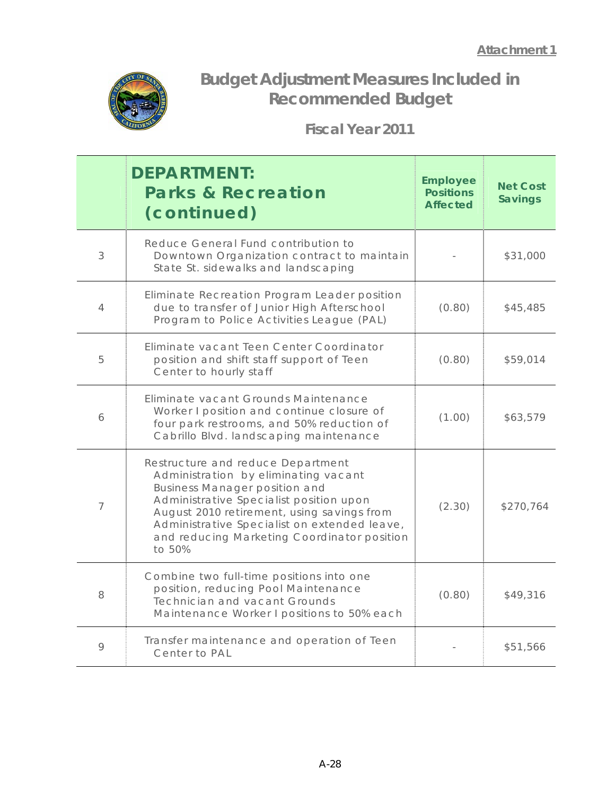

|                | <b>DEPARTMENT:</b><br><b>Parks &amp; Recreation</b><br>(continued)                                                                                                                                                                                                                                           | <b>Employee</b><br><b>Positions</b><br><b>Affected</b> | <b>Net Cost</b><br><b>Savings</b> |
|----------------|--------------------------------------------------------------------------------------------------------------------------------------------------------------------------------------------------------------------------------------------------------------------------------------------------------------|--------------------------------------------------------|-----------------------------------|
| 3              | Reduce General Fund contribution to<br>Downtown Organization contract to maintain<br>State St. sidewalks and landscaping                                                                                                                                                                                     |                                                        | \$31,000                          |
| 4              | Eliminate Recreation Program Leader position<br>due to transfer of Junior High Afterschool<br>Program to Police Activities League (PAL)                                                                                                                                                                      | (0.80)                                                 | \$45,485                          |
| 5              | Eliminate vacant Teen Center Coordinator<br>position and shift staff support of Teen<br>Center to hourly staff                                                                                                                                                                                               | (0.80)                                                 | \$59,014                          |
| 6              | Eliminate vacant Grounds Maintenance<br>Worker I position and continue closure of<br>four park restrooms, and 50% reduction of<br>Cabrillo Blvd. landscaping maintenance                                                                                                                                     | (1.00)                                                 | \$63,579                          |
| $\overline{7}$ | Restructure and reduce Department<br>Administration by eliminating vacant<br>Business Manager position and<br>Administrative Specialist position upon<br>August 2010 retirement, using savings from<br>Administrative Specialist on extended leave,<br>and reducing Marketing Coordinator position<br>to 50% | (2.30)                                                 | \$270,764                         |
| 8              | Combine two full-time positions into one<br>position, reducing Pool Maintenance<br><b>Technician and vacant Grounds</b><br>Maintenance Worker I positions to 50% each                                                                                                                                        | (0.80)                                                 | \$49,316                          |
| 9              | Transfer maintenance and operation of Teen<br>Center to PAL                                                                                                                                                                                                                                                  |                                                        | \$51,566                          |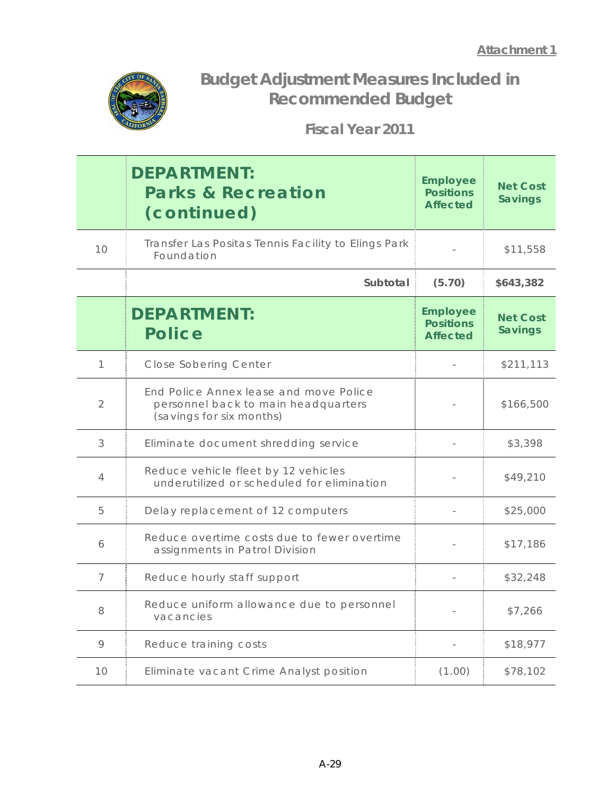

|                | <b>DEPARTMENT:</b><br><b>Parks &amp; Recreation</b><br>(continued)                                        | <b>Employee</b><br><b>Positions</b><br><b>Affected</b> | <b>Net Cost</b><br><b>Savings</b> |
|----------------|-----------------------------------------------------------------------------------------------------------|--------------------------------------------------------|-----------------------------------|
| 10             | Transfer Las Positas Tennis Facility to Elings Park<br>Foundation                                         |                                                        | \$11,558                          |
|                | Subtotal                                                                                                  | (5.70)                                                 | \$643,382                         |
|                | <b>DEPARTMENT:</b><br><b>Police</b>                                                                       | <b>Employee</b><br><b>Positions</b><br><b>Affected</b> | <b>Net Cost</b><br><b>Savings</b> |
| 1              | Close Sobering Center                                                                                     |                                                        | \$211,113                         |
| $\overline{2}$ | End Police Annex lease and move Police<br>personnel back to main headquarters<br>(savings for six months) |                                                        | \$166,500                         |
| 3              | Eliminate document shredding service                                                                      |                                                        | \$3,398                           |
| 4              | Reduce vehicle fleet by 12 vehicles<br>underutilized or scheduled for elimination                         |                                                        | \$49,210                          |
| 5              | Delay replacement of 12 computers                                                                         |                                                        | \$25,000                          |
| 6              | Reduce overtime costs due to fewer overtime<br>assignments in Patrol Division                             |                                                        | \$17,186                          |
| 7              | Reduce hourly staff support                                                                               |                                                        | \$32,248                          |
| 8              | Reduce uniform allowance due to personnel<br>vacancies                                                    |                                                        | \$7,266                           |
| 9              | Reduce training costs                                                                                     |                                                        | \$18,977                          |
| 10             | Eliminate vacant Crime Analyst position                                                                   | (1.00)                                                 | \$78,102                          |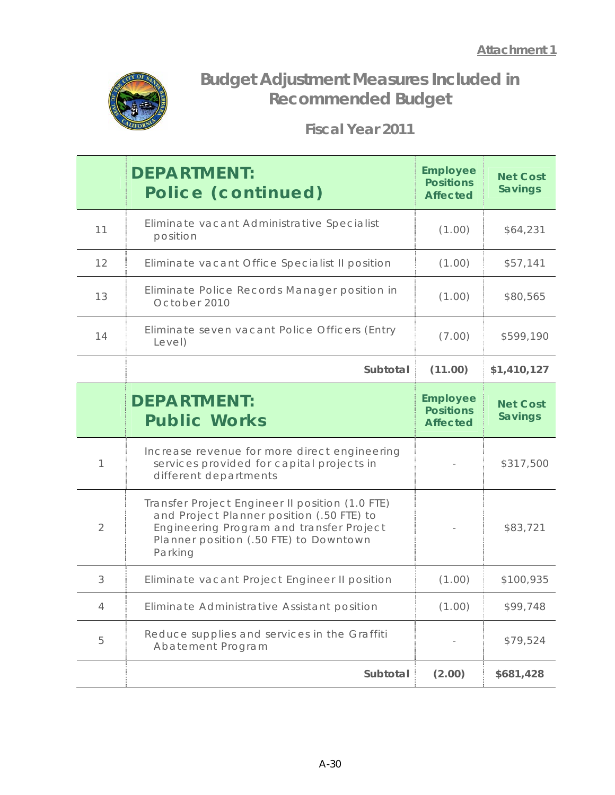

|                | <b>DEPARTMENT:</b><br>Police (continued)                                                                                                                                                      | <b>Employee</b><br><b>Positions</b><br><b>Affected</b> | <b>Net Cost</b><br><b>Savings</b> |
|----------------|-----------------------------------------------------------------------------------------------------------------------------------------------------------------------------------------------|--------------------------------------------------------|-----------------------------------|
| 11             | Eliminate vacant Administrative Specialist<br>position                                                                                                                                        | (1.00)                                                 | \$64,231                          |
| 12             | Eliminate vacant Office Specialist II position                                                                                                                                                | (1.00)                                                 | \$57,141                          |
| 13             | Eliminate Police Records Manager position in<br>October 2010                                                                                                                                  | (1.00)                                                 | \$80,565                          |
| 14             | Eliminate seven vacant Police Officers (Entry<br>Level)                                                                                                                                       | (7.00)                                                 | \$599,190                         |
|                | Subtotal                                                                                                                                                                                      | (11.00)                                                | \$1,410,127                       |
|                | <b>DEPARTMENT:</b><br><b>Public Works</b>                                                                                                                                                     | <b>Employee</b><br><b>Positions</b><br><b>Affected</b> | <b>Net Cost</b><br><b>Savings</b> |
| 1              | Increase revenue for more direct engineering<br>services provided for capital projects in<br>different departments                                                                            |                                                        | \$317,500                         |
| $\overline{2}$ | Transfer Project Engineer II position (1.0 FTE)<br>and Project Planner position (.50 FTE) to<br>Engineering Program and transfer Project<br>Planner position (.50 FTE) to Downtown<br>Parking |                                                        | \$83,721                          |
| 3              | Eliminate vacant Project Engineer II position                                                                                                                                                 | (1.00)                                                 | \$100,935                         |
| 4              | Eliminate Administrative Assistant position                                                                                                                                                   | (1.00)                                                 | \$99,748                          |
| 5              | Reduce supplies and services in the Graffiti<br>Abatement Program                                                                                                                             |                                                        | \$79,524                          |
|                | Subtotal                                                                                                                                                                                      | (2.00)                                                 | \$681,428                         |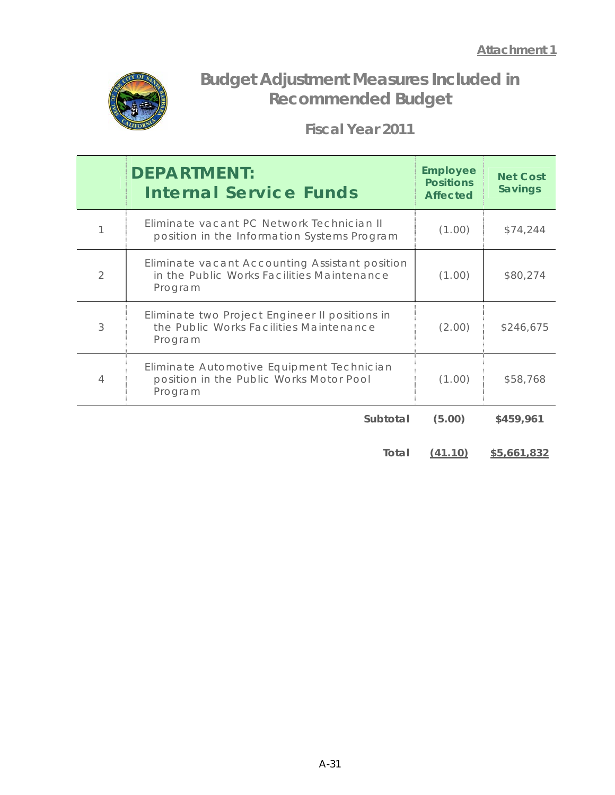

**Fiscal Year 2011** 

|   | DEPARTMENT:<br>Internal Service Funds                                                                   | <b>Employee</b><br><b>Positions</b><br><b>Affected</b> | <b>Net Cost</b><br><b>Savings</b> |
|---|---------------------------------------------------------------------------------------------------------|--------------------------------------------------------|-----------------------------------|
|   | Eliminate vacant PC Network Technician II<br>position in the Information Systems Program                | (1.00)                                                 | \$74,244                          |
| 2 | Eliminate vacant Accounting Assistant position<br>in the Public Works Facilities Maintenance<br>Program | (1.00)                                                 | \$80,274                          |
| 3 | Eliminate two Project Engineer II positions in<br>the Public Works Facilities Maintenance<br>Program    | (2.00)                                                 | \$246,675                         |
| 4 | Eliminate Automotive Equipment Technician<br>position in the Public Works Motor Pool<br>Program         | (1.00)                                                 | \$58,768                          |
|   | Subtotal                                                                                                | (5.00)                                                 | \$459,961                         |

**Total (41.10) \$5,661,832**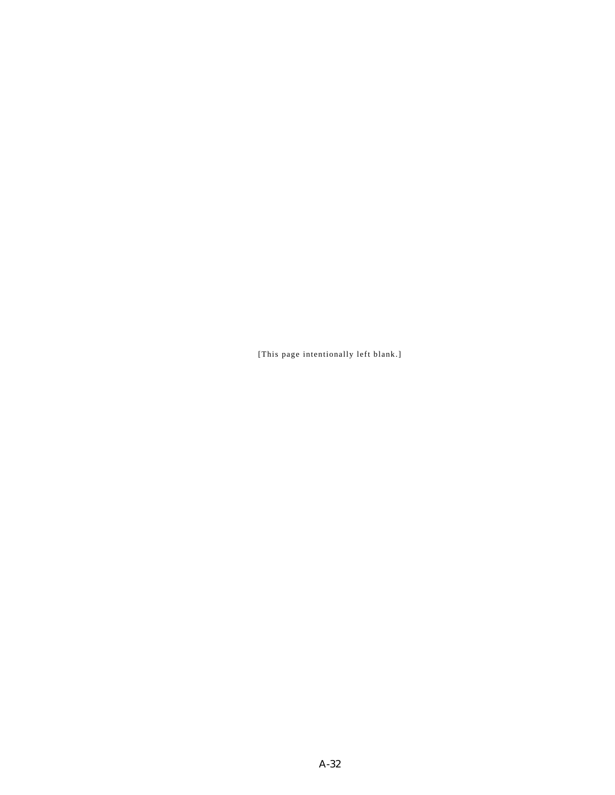[This page intentionally left blank.]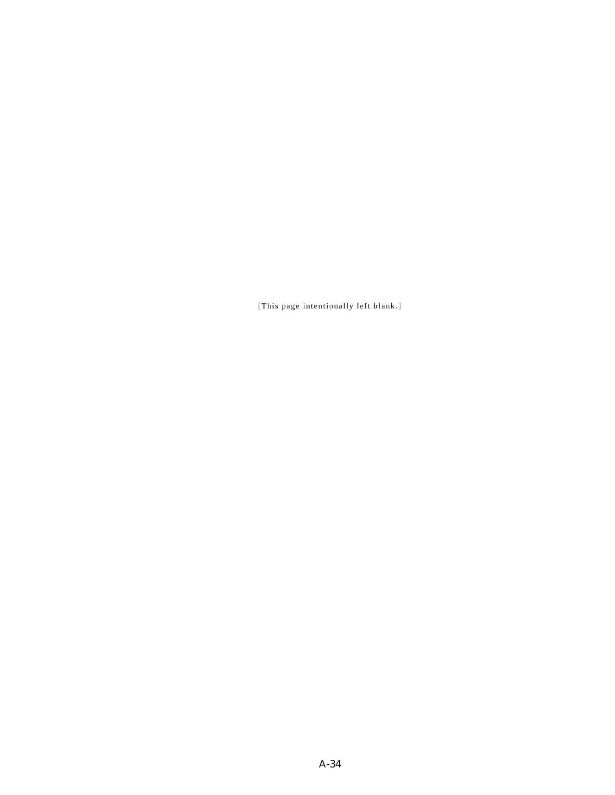[This page intentionally left blank.]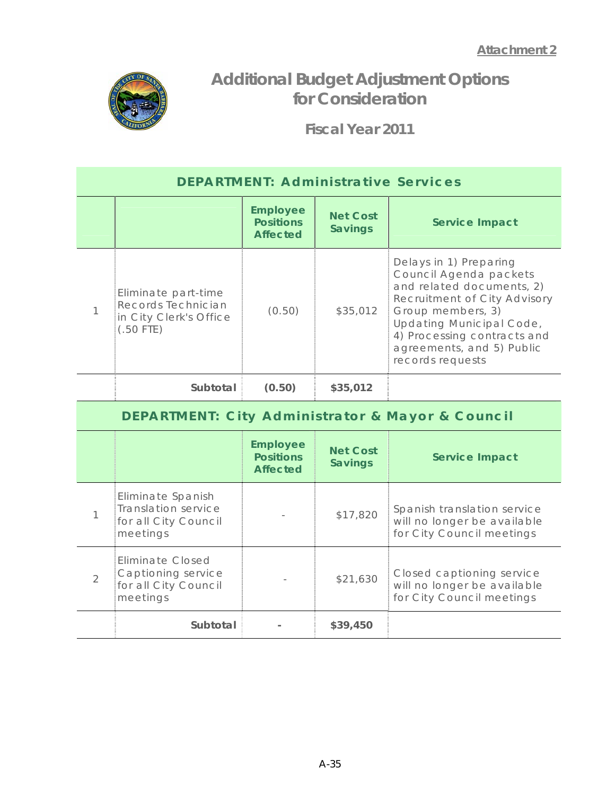

2

Eliminate Closed Captioning service for all City Council

meetings

# **Additional Budget Adjustment Options for Consideration**

**Fiscal Year 2011** 

| <b>DEPARTMENT: Administrative Services</b> |                                                                                    |                                                        |                                   |                                                                                                                                                                                                                                                       |
|--------------------------------------------|------------------------------------------------------------------------------------|--------------------------------------------------------|-----------------------------------|-------------------------------------------------------------------------------------------------------------------------------------------------------------------------------------------------------------------------------------------------------|
|                                            |                                                                                    | <b>Employee</b><br><b>Positions</b><br><b>Affected</b> | <b>Net Cost</b><br><b>Savings</b> | <b>Service Impact</b>                                                                                                                                                                                                                                 |
| 1                                          | Eliminate part-time<br>Records Technician<br>in City Clerk's Office<br>$(.50$ FTE) | (0.50)                                                 | \$35,012                          | Delays in 1) Preparing<br>Council Agenda packets<br>and related documents, 2)<br>Recruitment of City Advisory<br>Group members, 3)<br><b>Updating Municipal Code,</b><br>4) Processing contracts and<br>agreements, and 5) Public<br>records requests |
|                                            | Subtotal                                                                           | (0.50)                                                 | \$35,012                          |                                                                                                                                                                                                                                                       |
|                                            |                                                                                    |                                                        |                                   | DEPARTMENT: City Administrator & Mayor & Council                                                                                                                                                                                                      |
|                                            |                                                                                    | <b>Employee</b><br><b>Positions</b><br><b>Affected</b> | <b>Net Cost</b><br><b>Savings</b> | <b>Service Impact</b>                                                                                                                                                                                                                                 |
| 1                                          | Eliminate Spanish<br>Translation service<br>for all City Council<br>meetings       |                                                        | \$17,820                          | Spanish translation service<br>will no longer be available<br>for City Council meetings                                                                                                                                                               |

**Subtotal - \$39,450** 

\$21,630 Closed captioning service

will no longer be available for City Council meetings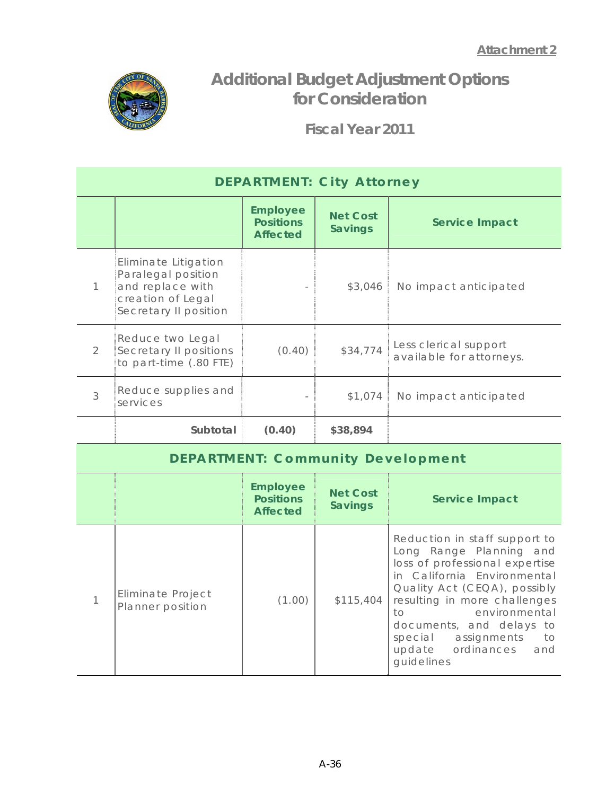documents, and delays to special assignments to update ordinances and

guidelines



# **Additional Budget Adjustment Options for Consideration**

| <b>DEPARTMENT: City Attorney</b> |                                                                                                              |                                                        |                                   |                                                                                                                                                                                                                  |
|----------------------------------|--------------------------------------------------------------------------------------------------------------|--------------------------------------------------------|-----------------------------------|------------------------------------------------------------------------------------------------------------------------------------------------------------------------------------------------------------------|
|                                  |                                                                                                              | <b>Employee</b><br><b>Positions</b><br><b>Affected</b> | <b>Net Cost</b><br><b>Savings</b> | <b>Service Impact</b>                                                                                                                                                                                            |
| $\mathbf{1}$                     | Eliminate Litigation<br>Paralegal position<br>and replace with<br>creation of Legal<br>Secretary II position |                                                        | \$3,046                           | No impact anticipated                                                                                                                                                                                            |
| $\overline{2}$                   | Reduce two Legal<br>Secretary II positions<br>to part-time (.80 FTE)                                         | (0.40)                                                 | \$34,774                          | Less clerical support<br>available for attorneys.                                                                                                                                                                |
| 3                                | Reduce supplies and<br>services                                                                              |                                                        | \$1,074                           | No impact anticipated                                                                                                                                                                                            |
|                                  | Subtotal                                                                                                     | (0.40)                                                 | \$38,894                          |                                                                                                                                                                                                                  |
|                                  |                                                                                                              |                                                        |                                   | <b>DEPARTMENT: Community Development</b>                                                                                                                                                                         |
|                                  |                                                                                                              | <b>Employee</b><br><b>Positions</b><br><b>Affected</b> | <b>Net Cost</b><br><b>Savings</b> | Service Impact                                                                                                                                                                                                   |
|                                  | Eliminate Project<br>Planner position                                                                        | (1.00)                                                 | \$115,404                         | Reduction in staff support to<br>Long Range Planning and<br>loss of professional expertise<br>in California Environmental<br>Quality Act (CEQA), possibly<br>resulting in more challenges<br>environmental<br>to |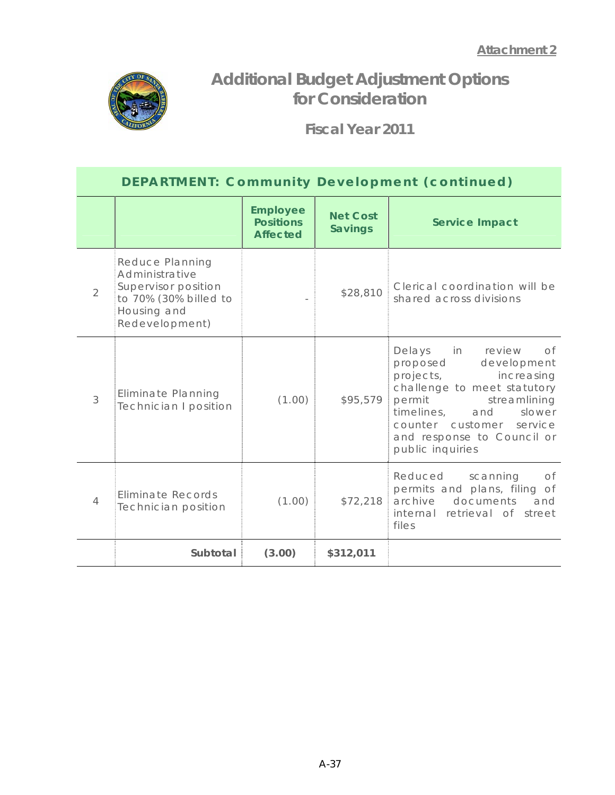

| DEPARTMENT: Community Development (continued) |                                                                                                                    |                                                        |                                   |                                                                                                                                                                                                                                                                |
|-----------------------------------------------|--------------------------------------------------------------------------------------------------------------------|--------------------------------------------------------|-----------------------------------|----------------------------------------------------------------------------------------------------------------------------------------------------------------------------------------------------------------------------------------------------------------|
|                                               |                                                                                                                    | <b>Employee</b><br><b>Positions</b><br><b>Affected</b> | <b>Net Cost</b><br><b>Savings</b> | <b>Service Impact</b>                                                                                                                                                                                                                                          |
| $\overline{2}$                                | Reduce Planning<br>Administrative<br>Supervisor position<br>to 70% (30% billed to<br>Housing and<br>Redevelopment) |                                                        | \$28,810                          | Clerical coordination will be<br>shared across divisions                                                                                                                                                                                                       |
| 3                                             | Eliminate Planning<br><b>Technician I position</b>                                                                 | (1.00)                                                 | \$95,579                          | Delays<br>in<br>review<br>of<br>proposed<br>development<br>projects,<br>increasing<br>challenge to meet statutory<br>permit<br>streamlining<br>slower<br>timelines,<br>and<br>counter<br>customer<br>service<br>and response to Council or<br>public inquiries |
| $\overline{4}$                                | Eliminate Records<br><b>Technician position</b>                                                                    | (1.00)                                                 | \$72,218                          | Reduced<br>scanning<br>$\Omega$<br>permits and plans, filing of<br>archive<br>documents<br>and<br>internal retrieval of street<br>files                                                                                                                        |
|                                               | Subtotal                                                                                                           | (3.00)                                                 | \$312,011                         |                                                                                                                                                                                                                                                                |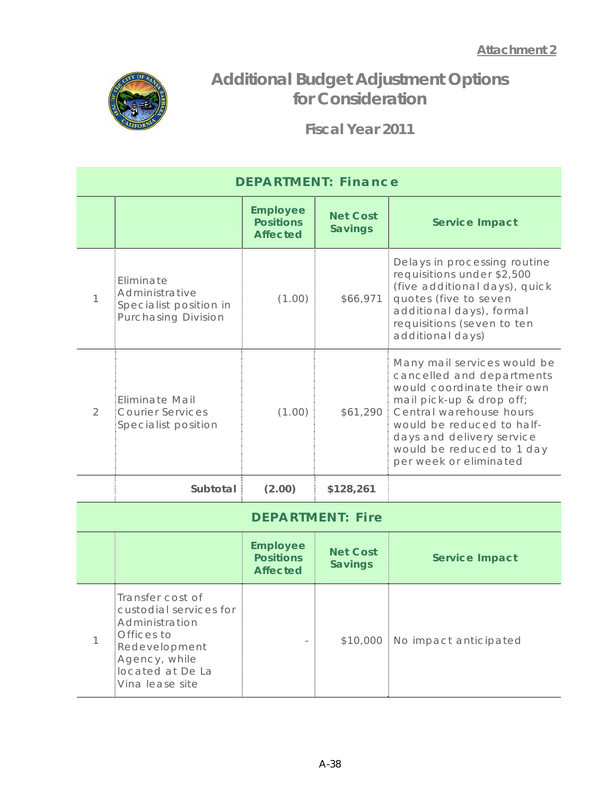

| <b>DEPARTMENT: Finance</b> |                                                                                     |                                                 |                                   |                                                                                                                                                                                                                                                                |  |
|----------------------------|-------------------------------------------------------------------------------------|-------------------------------------------------|-----------------------------------|----------------------------------------------------------------------------------------------------------------------------------------------------------------------------------------------------------------------------------------------------------------|--|
|                            |                                                                                     | Employee<br><b>Positions</b><br><b>Affected</b> | <b>Net Cost</b><br><b>Savings</b> | <b>Service Impact</b>                                                                                                                                                                                                                                          |  |
| 1                          | Eliminate<br>Administrative<br>Specialist position in<br><b>Purchasing Division</b> | (1.00)                                          | \$66,971                          | Delays in processing routine<br>requisitions under \$2,500<br>(five additional days), quick<br>quotes (five to seven<br>additional days), formal<br>requisitions (seven to ten<br>additional days)                                                             |  |
| $\mathcal{L}$              | Fliminate Mail<br>Courier Services<br>Specialist position                           | (1.00)                                          | \$61,290                          | Many mail services would be<br>cancelled and departments<br>would coordinate their own<br>mail pick-up & drop off;<br>Central warehouse hours<br>would be reduced to half-<br>days and delivery service<br>would be reduced to 1 day<br>per week or eliminated |  |
|                            | Subtotal                                                                            | (2.00)                                          | \$128,261                         |                                                                                                                                                                                                                                                                |  |
| <b>DEPARTMENT: Fire</b>    |                                                                                     |                                                 |                                   |                                                                                                                                                                                                                                                                |  |

|                                                                                                                                                     | Employee<br><b>Positions</b><br><b>Affected</b> | <b>Net Cost</b><br><b>Savings</b> | <b>Service Impact</b>          |  |
|-----------------------------------------------------------------------------------------------------------------------------------------------------|-------------------------------------------------|-----------------------------------|--------------------------------|--|
| Transfer cost of<br>custodial services for<br>Administration<br>Offices to<br>Redevelopment<br>Agency, while<br>located at De La<br>Vina lease site | $\overline{\phantom{a}}$                        |                                   | \$10,000 No impact anticipated |  |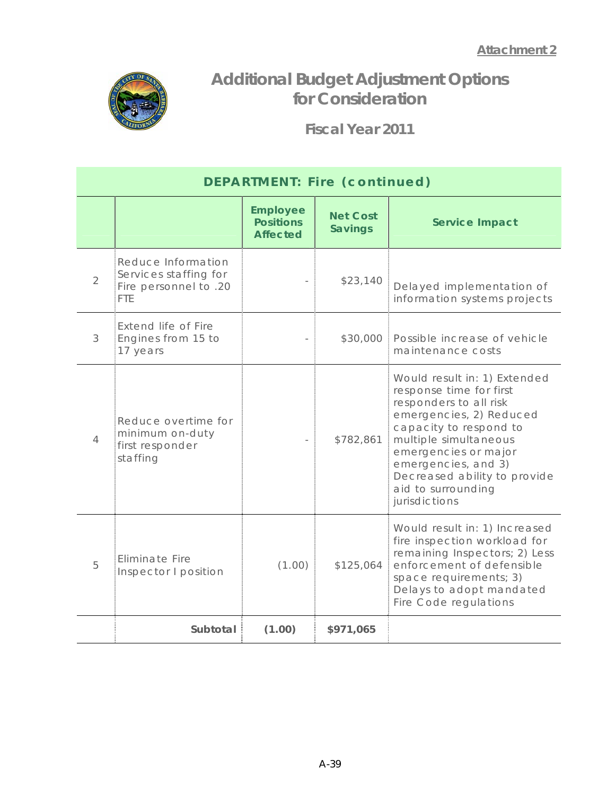

|                | DEPARTMENT: Fire (continued)                                                       |                                                        |                                   |                                                                                                                                                                                                                                                                                       |  |
|----------------|------------------------------------------------------------------------------------|--------------------------------------------------------|-----------------------------------|---------------------------------------------------------------------------------------------------------------------------------------------------------------------------------------------------------------------------------------------------------------------------------------|--|
|                |                                                                                    | <b>Employee</b><br><b>Positions</b><br><b>Affected</b> | <b>Net Cost</b><br><b>Savings</b> | <b>Service Impact</b>                                                                                                                                                                                                                                                                 |  |
| $\overline{2}$ | Reduce Information<br>Services staffing for<br>Fire personnel to .20<br><b>FTE</b> |                                                        | \$23,140                          | Delayed implementation of<br>information systems projects                                                                                                                                                                                                                             |  |
| 3              | Extend life of Fire<br>Engines from 15 to<br>17 years                              |                                                        | \$30,000                          | Possible increase of vehicle<br>maintenance costs                                                                                                                                                                                                                                     |  |
| $\overline{4}$ | Reduce overtime for<br>minimum on-duty<br>first responder<br>staffing              |                                                        | \$782,861                         | Would result in: 1) Extended<br>response time for first<br>responders to all risk<br>emergencies, 2) Reduced<br>capacity to respond to<br>multiple simultaneous<br>emergencies or major<br>emergencies, and 3)<br>Decreased ability to provide<br>aid to surrounding<br>jurisdictions |  |
| 5              | Eliminate Fire<br>Inspector I position                                             | (1.00)                                                 | \$125,064                         | Would result in: 1) Increased<br>fire inspection workload for<br>remaining Inspectors; 2) Less<br>enforcement of defensible<br>space requirements; 3)<br>Delays to adopt mandated<br>Fire Code regulations                                                                            |  |
|                | Subtotal                                                                           | (1.00)                                                 | \$971,065                         |                                                                                                                                                                                                                                                                                       |  |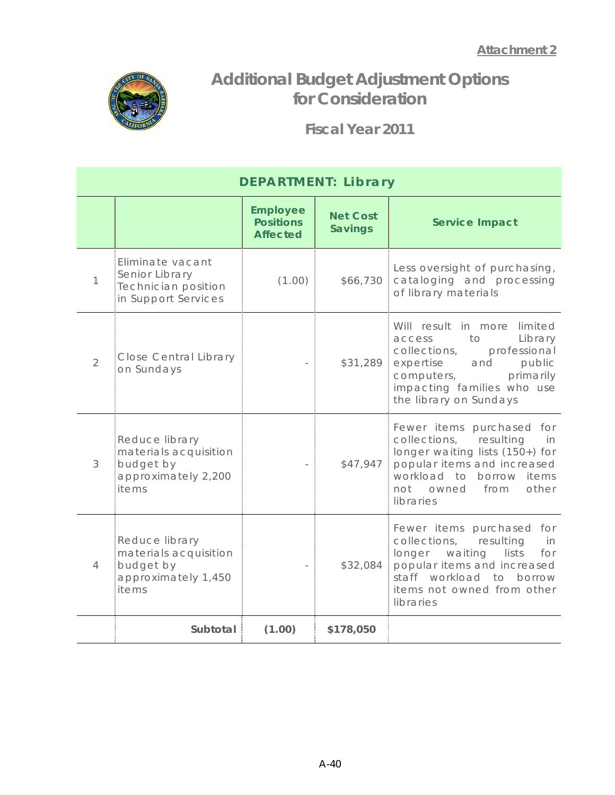

| <b>DEPARTMENT: Library</b> |                                                                                      |                                                        |                                   |                                                                                                                                                                                                         |  |
|----------------------------|--------------------------------------------------------------------------------------|--------------------------------------------------------|-----------------------------------|---------------------------------------------------------------------------------------------------------------------------------------------------------------------------------------------------------|--|
|                            |                                                                                      | <b>Employee</b><br><b>Positions</b><br><b>Affected</b> | <b>Net Cost</b><br><b>Savings</b> | <b>Service Impact</b>                                                                                                                                                                                   |  |
| $\mathbf{1}$               | Eliminate vacant<br>Senior Library<br>Technician position<br>in Support Services     | (1.00)                                                 | \$66,730                          | Less oversight of purchasing,<br>cataloging and processing<br>of library materials                                                                                                                      |  |
| $\overline{2}$             | Close Central Library<br>on Sundays                                                  |                                                        | \$31,289                          | Will result in more limited<br>to<br>Library<br>access<br>collections,<br>professional<br>public<br>expertise<br>and<br>computers,<br>primarily<br>impacting families who use<br>the library on Sundays |  |
| 3                          | Reduce library<br>materials acquisition<br>budget by<br>approximately 2,200<br>items |                                                        | \$47,947                          | Fewer items purchased for<br>collections, resulting<br>in<br>longer waiting lists (150+) for<br>popular items and increased<br>workload to borrow items<br>from<br>other<br>not owned<br>libraries      |  |
| 4                          | Reduce library<br>materials acquisition<br>budget by<br>approximately 1,450<br>items |                                                        | \$32,084                          | Fewer items purchased for<br>collections,<br>resulting<br>in<br>longer waiting<br>lists<br>for<br>popular items and increased<br>staff workload to borrow<br>items not owned from other<br>libraries    |  |
|                            | Subtotal                                                                             | (1.00)                                                 | \$178,050                         |                                                                                                                                                                                                         |  |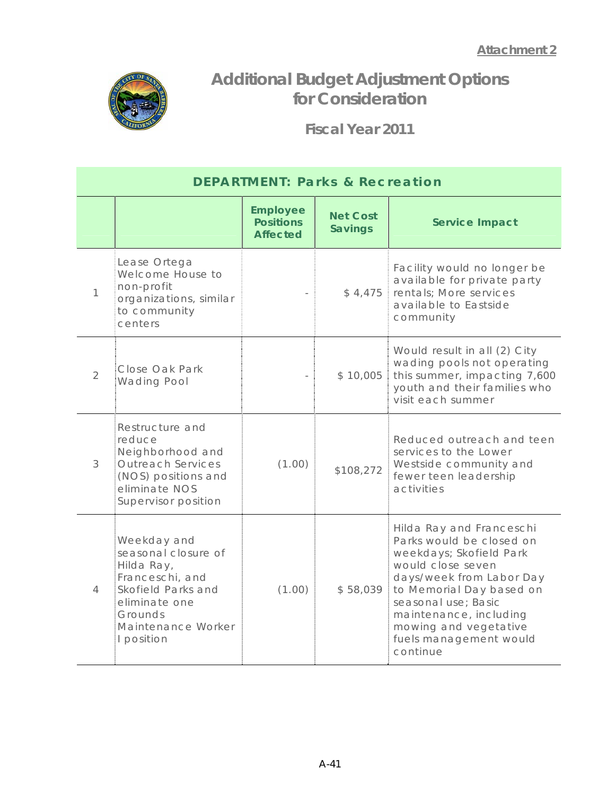

| <b>DEPARTMENT: Parks &amp; Recreation</b> |                                                                                                                                                           |                                                 |                                   |                                                                                                                                                                                                                                                                              |
|-------------------------------------------|-----------------------------------------------------------------------------------------------------------------------------------------------------------|-------------------------------------------------|-----------------------------------|------------------------------------------------------------------------------------------------------------------------------------------------------------------------------------------------------------------------------------------------------------------------------|
|                                           |                                                                                                                                                           | <b>Employee</b><br><b>Positions</b><br>Affected | <b>Net Cost</b><br><b>Savings</b> | <b>Service Impact</b>                                                                                                                                                                                                                                                        |
| 1                                         | Lease Ortega<br>Welcome House to<br>non-profit<br>organizations, similar<br>to community<br>centers                                                       |                                                 | \$4,475                           | Facility would no longer be<br>available for private party<br>rentals; More services<br>available to Eastside<br>community                                                                                                                                                   |
| $\overline{2}$                            | Close Oak Park<br>Wading Pool                                                                                                                             |                                                 | \$10,005                          | Would result in all (2) City<br>wading pools not operating<br>this summer, impacting 7,600<br>youth and their families who<br>visit each summer                                                                                                                              |
| 3                                         | Restructure and<br>reduce<br>Neighborhood and<br><b>Outreach Services</b><br>(NOS) positions and<br>eliminate NOS<br>Supervisor position                  | (1.00)                                          | \$108,272                         | Reduced outreach and teen<br>services to the Lower<br>Westside community and<br>fewer teen leadership<br>activities                                                                                                                                                          |
| 4                                         | Weekday and<br>seasonal closure of<br>Hilda Ray,<br>Franceschi, and<br>Skofield Parks and<br>eliminate one<br>Grounds<br>Maintenance Worker<br>I position | (1.00)                                          | \$58,039                          | Hilda Ray and Franceschi<br>Parks would be closed on<br>weekdays; Skofield Park<br>would close seven<br>days/week from Labor Day<br>to Memorial Day based on<br>seasonal use; Basic<br>maintenance, including<br>mowing and vegetative<br>fuels management would<br>continue |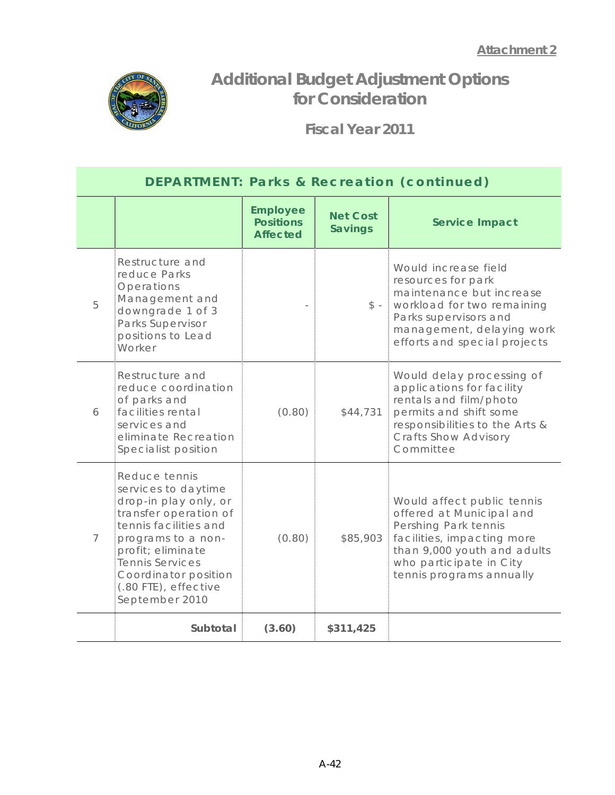

| DEPARTMENT: Parks & Recreation (continued) |                                                                                                                                                                                                                                                        |                                                        |                                   |                                                                                                                                                                                                    |
|--------------------------------------------|--------------------------------------------------------------------------------------------------------------------------------------------------------------------------------------------------------------------------------------------------------|--------------------------------------------------------|-----------------------------------|----------------------------------------------------------------------------------------------------------------------------------------------------------------------------------------------------|
|                                            |                                                                                                                                                                                                                                                        | <b>Employee</b><br><b>Positions</b><br><b>Affected</b> | <b>Net Cost</b><br><b>Savings</b> | Service Impact                                                                                                                                                                                     |
| 5                                          | Restructure and<br>reduce Parks<br>Operations<br>Management and<br>downgrade 1 of 3<br>Parks Supervisor<br>positions to Lead<br>Worker                                                                                                                 |                                                        | $\updownarrow$ -                  | Would increase field<br>resources for park<br>maintenance but increase<br>workload for two remaining<br>Parks supervisors and<br>management, delaying work<br>efforts and special projects         |
| 6                                          | Restructure and<br>reduce coordination<br>of parks and<br>facilities rental<br>services and<br>eliminate Recreation<br>Specialist position                                                                                                             | (0.80)                                                 | \$44,731                          | Would delay processing of<br>applications for facility<br>rentals and film/photo<br>permits and shift some<br>responsibilities to the Arts &<br><b>Crafts Show Advisory</b><br>Committee           |
| $\overline{7}$                             | Reduce tennis<br>services to daytime<br>drop-in play only, or<br>transfer operation of<br>tennis facilities and<br>programs to a non-<br>profit; eliminate<br><b>Tennis Services</b><br>Coordinator position<br>(.80 FTE), effective<br>September 2010 | (0.80)                                                 | \$85,903                          | Would affect public tennis<br>offered at Municipal and<br>Pershing Park tennis<br>facilities, impacting more<br>than 9,000 youth and adults<br>who participate in City<br>tennis programs annually |
|                                            | Subtotal                                                                                                                                                                                                                                               | (3.60)                                                 | \$311,425                         |                                                                                                                                                                                                    |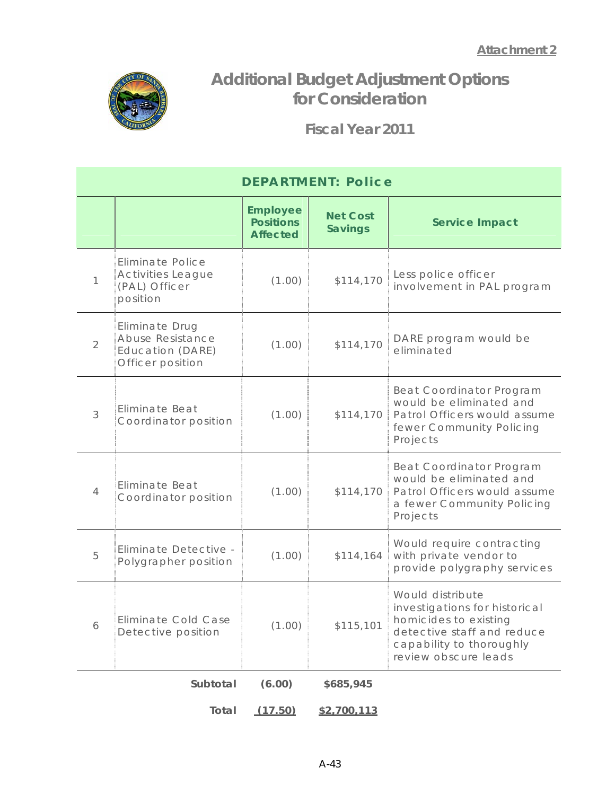

| <b>DEPARTMENT: Police</b> |                                                                            |                                                        |                                   |                                                                                                                                                              |
|---------------------------|----------------------------------------------------------------------------|--------------------------------------------------------|-----------------------------------|--------------------------------------------------------------------------------------------------------------------------------------------------------------|
|                           |                                                                            | <b>Employee</b><br><b>Positions</b><br><b>Affected</b> | <b>Net Cost</b><br><b>Savings</b> | <b>Service Impact</b>                                                                                                                                        |
| 1                         | <b>Eliminate Police</b><br>Activities League<br>(PAL) Officer<br>position  | (1.00)                                                 | \$114,170                         | Less police officer<br>involvement in PAL program                                                                                                            |
| $\overline{2}$            | Eliminate Drug<br>Abuse Resistance<br>Education (DARE)<br>Officer position | (1.00)                                                 | \$114,170                         | DARE program would be<br>eliminated                                                                                                                          |
| $\mathfrak{Z}$            | Eliminate Beat<br>Coordinator position                                     | (1.00)                                                 | \$114,170                         | Beat Coordinator Program<br>would be eliminated and<br>Patrol Officers would assume<br>fewer Community Policing<br>Projects                                  |
| $\overline{4}$            | Eliminate Beat<br>Coordinator position                                     | (1.00)                                                 | \$114,170                         | Beat Coordinator Program<br>would be eliminated and<br>Patrol Officers would assume<br>a fewer Community Policing<br>Projects                                |
| 5                         | Eliminate Detective -<br>Polygrapher position                              | (1.00)                                                 | \$114,164                         | Would require contracting<br>with private vendor to<br>provide polygraphy services                                                                           |
| 6                         | Eliminate Cold Case<br>Detective position                                  | (1.00)                                                 | \$115,101                         | Would distribute<br>investigations for historical<br>homicides to existing<br>detective staff and reduce<br>capability to thoroughly<br>review obscure leads |
|                           | Subtotal                                                                   | (6.00)                                                 | \$685,945                         |                                                                                                                                                              |
|                           | Total                                                                      | (17.50)                                                | \$2,700,113                       |                                                                                                                                                              |